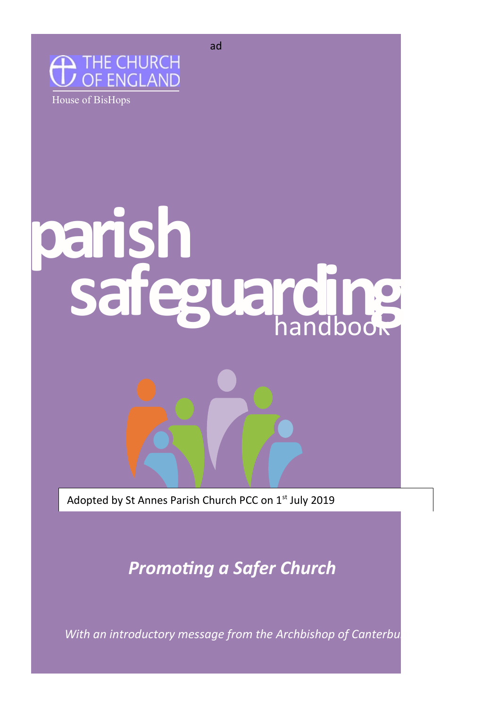



# **parish safeguarding** handbook

Adopted by St Annes Parish Church PCC on 1st July 2019

*Promoting a Safer Church*

*With an introductory message from the Archbishop of Canterbury*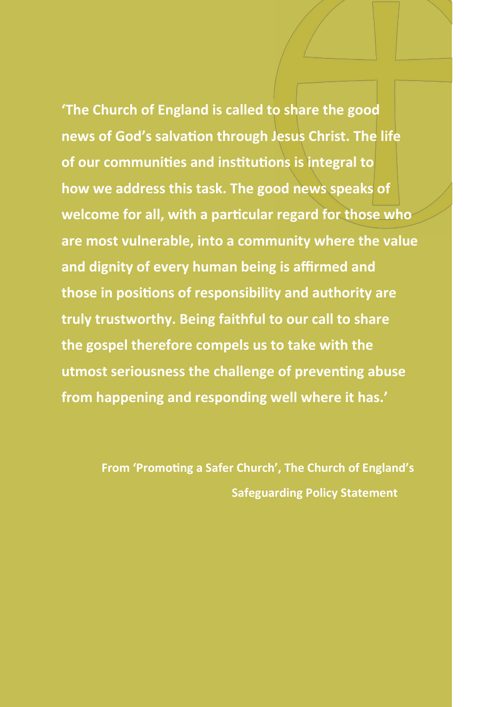**'The Church of England is called to share the good news of God's salvation through Jesus Christ. The life of our communities and institutions is integral to how we address this task. The good news speaks of welcome for all, with a particular regard for those who are most vulnerable, into a community where the value and dignity of every human being is affirmed and those in positions of responsibility and authority are truly trustworthy. Being faithful to our call to share the gospel therefore compels us to take with the utmost seriousness the challenge of preventing abuse from happening and responding well where it has.'**

> **From 'Promoting a Safer Church', The Church of England's Safeguarding Policy Statement**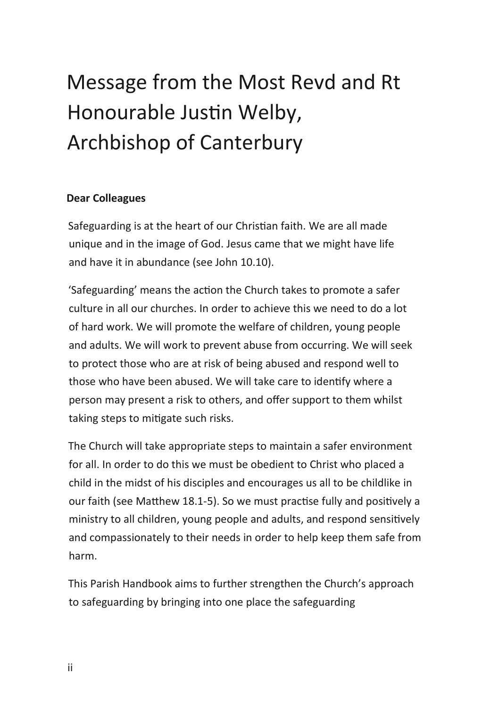# Message from the Most Revd and Rt Honourable Justin Welby, Archbishop of Canterbury

#### **Dear Colleagues**

Safeguarding is at the heart of our Christian faith. We are all made unique and in the image of God. Jesus came that we might have life and have it in abundance (see John 10.10).

'Safeguarding' means the action the Church takes to promote a safer culture in all our churches. In order to achieve this we need to do a lot of hard work. We will promote the welfare of children, young people and adults. We will work to prevent abuse from occurring. We will seek to protect those who are at risk of being abused and respond well to those who have been abused. We will take care to identify where a person may present a risk to others, and offer support to them whilst taking steps to mitigate such risks.

The Church will take appropriate steps to maintain a safer environment for all. In order to do this we must be obedient to Christ who placed a child in the midst of his disciples and encourages us all to be childlike in our faith (see Matthew 18.1-5). So we must practise fully and positively a ministry to all children, young people and adults, and respond sensitively and compassionately to their needs in order to help keep them safe from harm.

This Parish Handbook aims to further strengthen the Church's approach to safeguarding by bringing into one place the safeguarding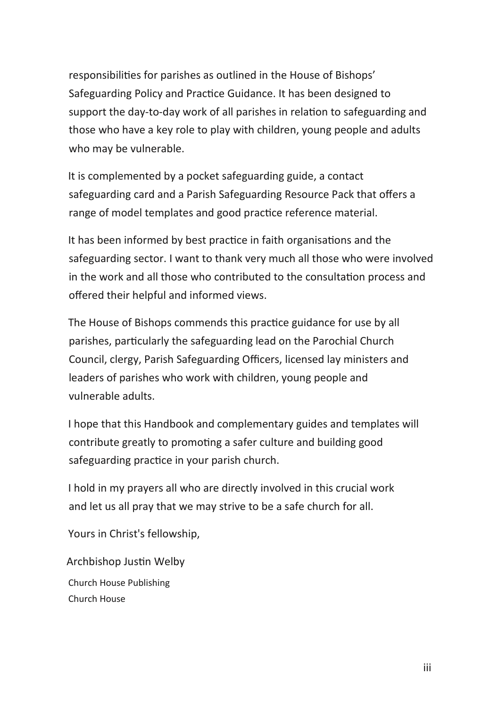responsibilities for parishes as outlined in the House of Bishops' Safeguarding Policy and Practice Guidance. It has been designed to support the day-to-day work of all parishes in relation to safeguarding and those who have a key role to play with children, young people and adults who may be vulnerable.

It is complemented by a pocket safeguarding guide, a contact safeguarding card and a Parish Safeguarding Resource Pack that offers a range of model templates and good practice reference material.

It has been informed by best practice in faith organisations and the safeguarding sector. I want to thank very much all those who were involved in the work and all those who contributed to the consultation process and offered their helpful and informed views.

The House of Bishops commends this practice guidance for use by all parishes, particularly the safeguarding lead on the Parochial Church Council, clergy, Parish Safeguarding Officers, licensed lay ministers and leaders of parishes who work with children, young people and vulnerable adults.

I hope that this Handbook and complementary guides and templates will contribute greatly to promoting a safer culture and building good safeguarding practice in your parish church.

I hold in my prayers all who are directly involved in this crucial work and let us all pray that we may strive to be a safe church for all.

Yours in Christ's fellowship,

Archbishop Justin Welby Church House Publishing Church House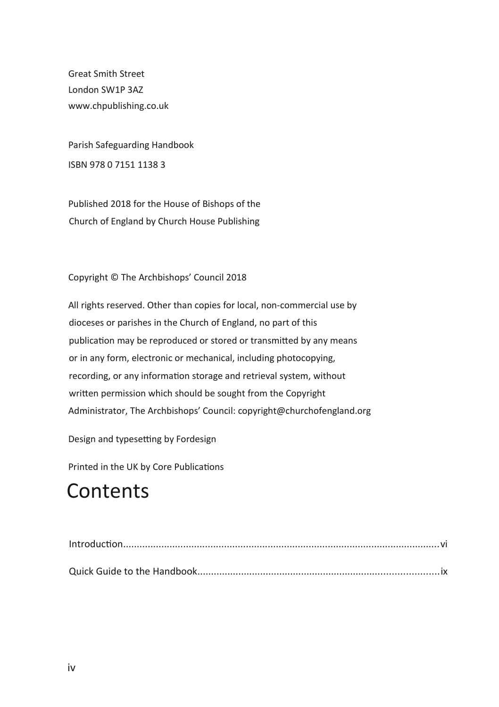Great Smith Street London SW1P 3AZ www.chpublishing.co.uk

Parish Safeguarding Handbook ISBN 978 0 7151 1138 3

Published 2018 for the House of Bishops of the Church of England by Church House Publishing

Copyright © The Archbishops' Council 2018

All rights reserved. Other than copies for local, non-commercial use by dioceses or parishes in the Church of England, no part of this publication may be reproduced or stored or transmitted by any means or in any form, electronic or mechanical, including photocopying, recording, or any information storage and retrieval system, without written permission which should be sought from the Copyright Administrator, The Archbishops' Council: copyright@churchofengland.org

Design and typesetting by Fordesign

Printed in the UK by Core Publications

### **Contents**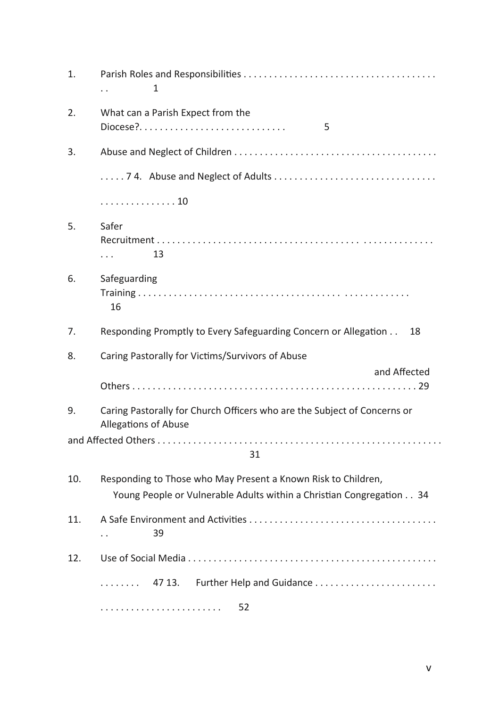| 1.  | 1                                                                                                                                     |
|-----|---------------------------------------------------------------------------------------------------------------------------------------|
| 2.  | What can a Parish Expect from the<br>$Diocese?$<br>5                                                                                  |
| 3.  |                                                                                                                                       |
|     |                                                                                                                                       |
|     | . 10                                                                                                                                  |
| 5.  | Safer<br>13<br>.                                                                                                                      |
| 6.  | Safeguarding<br>16                                                                                                                    |
| 7.  | Responding Promptly to Every Safeguarding Concern or Allegation<br>18                                                                 |
| 8.  | Caring Pastorally for Victims/Survivors of Abuse                                                                                      |
|     | and Affected                                                                                                                          |
| 9.  | Caring Pastorally for Church Officers who are the Subject of Concerns or<br>Allegations of Abuse                                      |
|     | 31                                                                                                                                    |
| 10. | Responding to Those who May Present a Known Risk to Children,<br>Young People or Vulnerable Adults within a Christian Congregation 34 |
| 11. | 39<br>. .                                                                                                                             |
| 12. |                                                                                                                                       |
|     | 47 13.<br>.                                                                                                                           |
|     | 52                                                                                                                                    |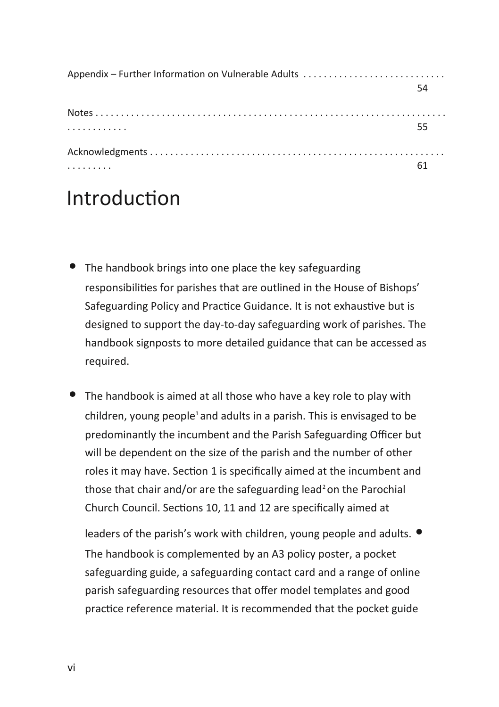| Appendix - Further Information on Vulnerable Adults |    |
|-----------------------------------------------------|----|
|                                                     | 54 |
|                                                     |    |
| .                                                   | 55 |
|                                                     |    |
|                                                     |    |

### <span id="page-6-0"></span>Introduction

- The handbook brings into one place the key safeguarding responsibilities for parishes that are outlined in the House of Bishops' Safeguarding Policy and Practice Guidance. It is not exhaustive but is designed to support the day-to-day safeguarding work of parishes. The handbook signposts to more detailed guidance that can be accessed as required.
- The handbook is aimed at all those who have a key role to play with children, young people<sup>1</sup> and adults in a parish. This is envisaged to be predominantly the incumbent and the Parish Safeguarding Officer but will be dependent on the size of the parish and the number of other roles it may have. Section 1 is specifically aimed at the incumbent and those that chair and/or are the safeguarding lead<sup>2</sup> on the Parochial Church Council. Sections 10, 11 and 12 are specifically aimed at

leaders of the parish's work with children, young people and adults.  $\bullet$ The handbook is complemented by an A3 policy poster, a pocket safeguarding guide, a safeguarding contact card and a range of online parish safeguarding resources that offer model templates and good practice reference material. It is recommended that the pocket guide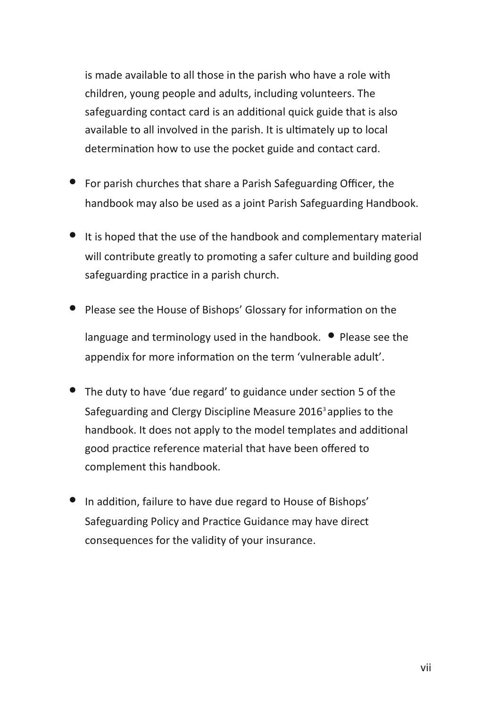is made available to all those in the parish who have a role with children, young people and adults, including volunteers. The safeguarding contact card is an additional quick guide that is also available to all involved in the parish. It is ultimately up to local determination how to use the pocket guide and contact card.

- For parish churches that share a Parish Safeguarding Officer, the handbook may also be used as a joint Parish Safeguarding Handbook.
- It is hoped that the use of the handbook and complementary material will contribute greatly to promoting a safer culture and building good safeguarding practice in a parish church.
- Please see the House of Bishops' Glossary for information on the language and terminology used in the handbook. • Please see the appendix for more information on the term 'vulnerable adult'.
- The duty to have 'due regard' to guidance under section 5 of the Safeguarding and Clergy Discipline Measure 2016<sup>3</sup> applies to the handbook. It does not apply to the model templates and additional good practice reference material that have been offered to complement this handbook.
- In addition, failure to have due regard to House of Bishops' Safeguarding Policy and Practice Guidance may have direct consequences for the validity of your insurance.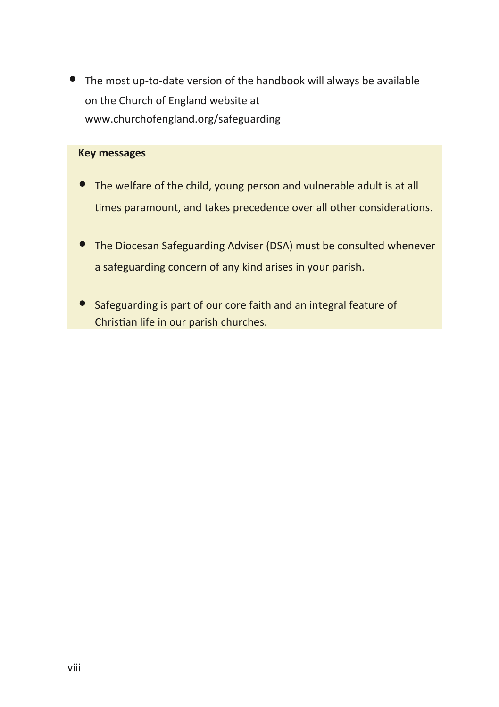• The most up-to-date version of the handbook will always be available on the Church of England website at www.churchofengland.org/safeguarding

#### **Key messages**

- The welfare of the child, young person and vulnerable adult is at all times paramount, and takes precedence over all other considerations.
- The Diocesan Safeguarding Adviser (DSA) must be consulted whenever a safeguarding concern of any kind arises in your parish.
- Safeguarding is part of our core faith and an integral feature of Christian life in our parish churches.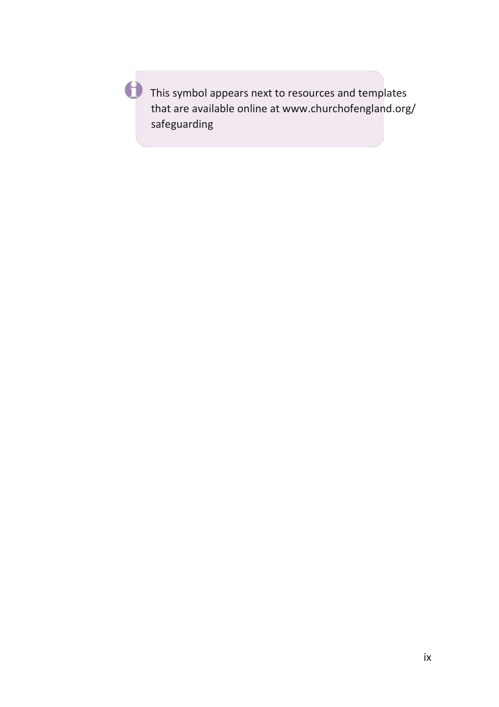This symbol appears next to resources and templates that are available online at www.churchofengland.org/ safeguarding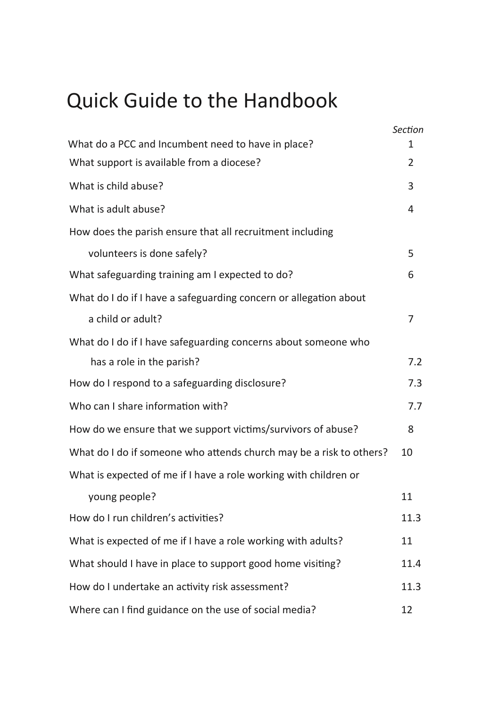# <span id="page-10-0"></span>Quick Guide to the Handbook

|                                                                     | Section       |
|---------------------------------------------------------------------|---------------|
| What do a PCC and Incumbent need to have in place?                  | 1             |
| What support is available from a diocese?                           | $\mathcal{P}$ |
| What is child abuse?                                                | 3             |
| What is adult abuse?                                                | 4             |
| How does the parish ensure that all recruitment including           |               |
| volunteers is done safely?                                          | 5             |
| What safeguarding training am I expected to do?                     | 6             |
| What do I do if I have a safeguarding concern or allegation about   |               |
| a child or adult?                                                   | 7             |
| What do I do if I have safeguarding concerns about someone who      |               |
| has a role in the parish?                                           | 7.2           |
| How do I respond to a safeguarding disclosure?                      | 7.3           |
| Who can I share information with?                                   | 7.7           |
| How do we ensure that we support victims/survivors of abuse?        | 8             |
| What do I do if someone who attends church may be a risk to others? | 10            |
| What is expected of me if I have a role working with children or    |               |
| young people?                                                       | 11            |
| How do I run children's activities?                                 | 11.3          |
| What is expected of me if I have a role working with adults?        | 11            |
| What should I have in place to support good home visiting?          | 11.4          |
| How do I undertake an activity risk assessment?                     | 11.3          |
| Where can I find guidance on the use of social media?               | 12            |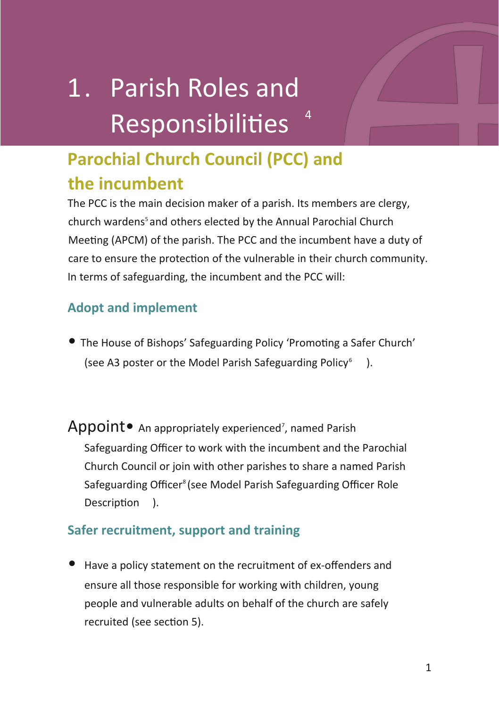# 1. Parish Roles and Responsibilities <sup>4</sup>

### **Parochial Church Council (PCC) and the incumbent**

The PCC is the main decision maker of a parish. Its members are clergy, church wardens<sup>5</sup> and others elected by the Annual Parochial Church Meeting (APCM) of the parish. The PCC and the incumbent have a duty of care to ensure the protection of the vulnerable in their church community. In terms of safeguarding, the incumbent and the PCC will:

#### **Adopt and implement**

- The House of Bishops' Safeguarding Policy 'Promoting a Safer Church' (see A3 poster or the Model Parish Safeguarding Policy<sup>6</sup>) ).
- Appoint An appropriately experienced<sup>7</sup>, named Parish Safeguarding Officer to work with the incumbent and the Parochial Church Council or join with other parishes to share a named Parish Safeguarding Officer<sup>8</sup> (see Model Parish Safeguarding Officer Role Description ).

#### **Safer recruitment, support and training**

• Have a policy statement on the recruitment of ex-offenders and ensure all those responsible for working with children, young people and vulnerable adults on behalf of the church are safely recruited (see section 5).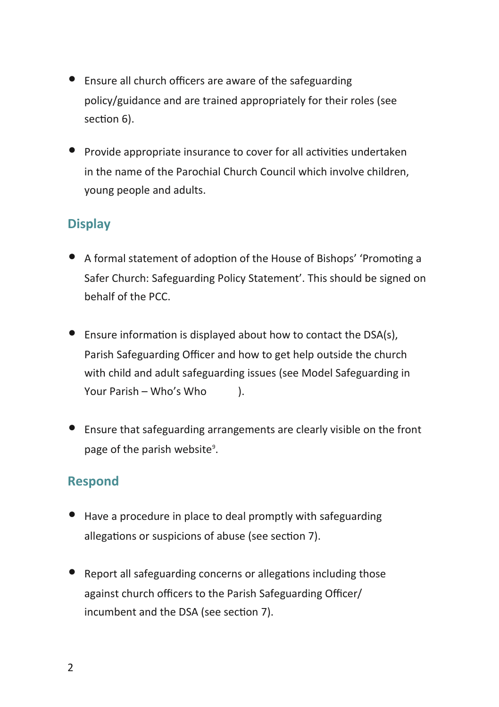- Ensure all church officers are aware of the safeguarding policy/guidance and are trained appropriately for their roles (see section 6).
- Provide appropriate insurance to cover for all activities undertaken in the name of the Parochial Church Council which involve children, young people and adults.

#### **Display**

- A formal statement of adoption of the House of Bishops' 'Promoting a Safer Church: Safeguarding Policy Statement'. This should be signed on behalf of the PCC.
- Ensure information is displayed about how to contact the DSA(s), Parish Safeguarding Officer and how to get help outside the church with child and adult safeguarding issues (see Model Safeguarding in Your Parish – Who's Who  $\qquad$ ).
- Ensure that safeguarding arrangements are clearly visible on the front page of the parish website<sup>9</sup>.

#### **Respond**

- Have a procedure in place to deal promptly with safeguarding allegations or suspicions of abuse (see section 7).
- Report all safeguarding concerns or allegations including those against church officers to the Parish Safeguarding Officer/ incumbent and the DSA (see section 7).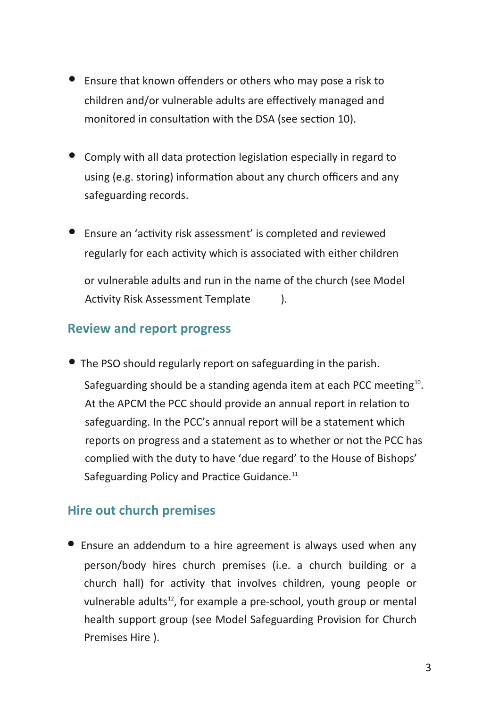- Ensure that known offenders or others who may pose a risk to children and/or vulnerable adults are effectively managed and monitored in consultation with the DSA (see section 10).
- Comply with all data protection legislation especially in regard to using (e.g. storing) information about any church officers and any safeguarding records.
- Ensure an 'activity risk assessment' is completed and reviewed regularly for each activity which is associated with either children or vulnerable adults and run in the name of the church (see Model Activity Risk Assessment Template ).

#### **Review and report progress**

• The PSO should regularly report on safeguarding in the parish.

Safeguarding should be a standing agenda item at each PCC meeting $^{10}$ . At the APCM the PCC should provide an annual report in relation to safeguarding. In the PCC's annual report will be a statement which reports on progress and a statement as to whether or not the PCC has complied with the duty to have 'due regard' to the House of Bishops' Safeguarding Policy and Practice Guidance.<sup>11</sup>

#### **Hire out church premises**

• Ensure an addendum to a hire agreement is always used when any person/body hires church premises (i.e. a church building or a church hall) for activity that involves children, young people or vulnerable adults<sup>12</sup>, for example a pre-school, youth group or mental health support group (see Model Safeguarding Provision for Church Premises Hire ).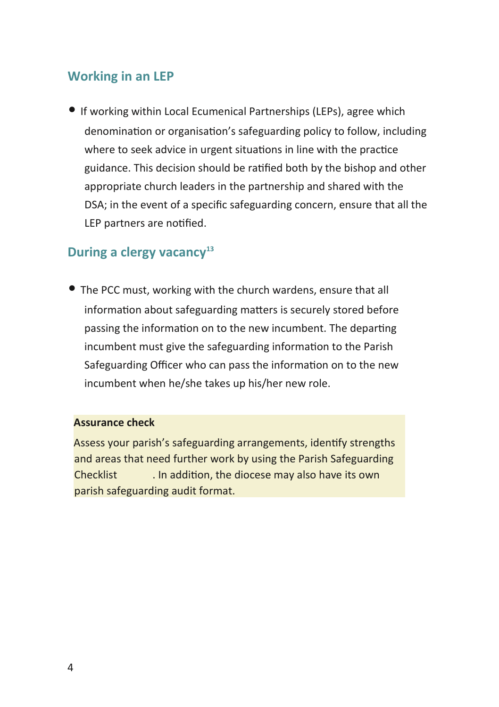#### **Working in an LEP**

• If working within Local Ecumenical Partnerships (LEPs), agree which denomination or organisation's safeguarding policy to follow, including where to seek advice in urgent situations in line with the practice guidance. This decision should be ratified both by the bishop and other appropriate church leaders in the partnership and shared with the DSA; in the event of a specific safeguarding concern, ensure that all the LEP partners are notified.

#### **During a clergy vacancy<sup>13</sup>**

• The PCC must, working with the church wardens, ensure that all information about safeguarding matters is securely stored before passing the information on to the new incumbent. The departing incumbent must give the safeguarding information to the Parish Safeguarding Officer who can pass the information on to the new incumbent when he/she takes up his/her new role.

#### **Assurance check**

Assess your parish's safeguarding arrangements, identify strengths and areas that need further work by using the Parish Safeguarding Checklist . In addition, the diocese may also have its own parish safeguarding audit format.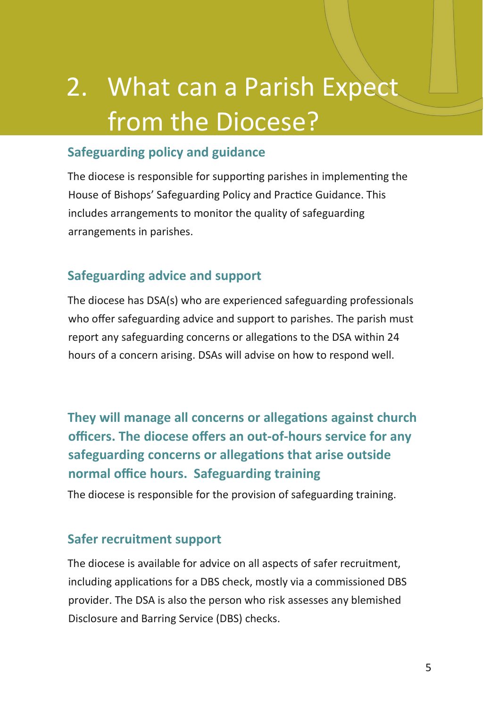# 2. What can a Parish Expect from the Diocese?

#### **Safeguarding policy and guidance**

The diocese is responsible for supporting parishes in implementing the House of Bishops' Safeguarding Policy and Practice Guidance. This includes arrangements to monitor the quality of safeguarding arrangements in parishes.

#### **Safeguarding advice and support**

The diocese has DSA(s) who are experienced safeguarding professionals who offer safeguarding advice and support to parishes. The parish must report any safeguarding concerns or allegations to the DSA within 24 hours of a concern arising. DSAs will advise on how to respond well.

**They will manage all concerns or allegations against church officers. The diocese offers an out-of-hours service for any safeguarding concerns or allegations that arise outside normal office hours. Safeguarding training**

The diocese is responsible for the provision of safeguarding training.

#### **Safer recruitment support**

The diocese is available for advice on all aspects of safer recruitment, including applications for a DBS check, mostly via a commissioned DBS provider. The DSA is also the person who risk assesses any blemished Disclosure and Barring Service (DBS) checks.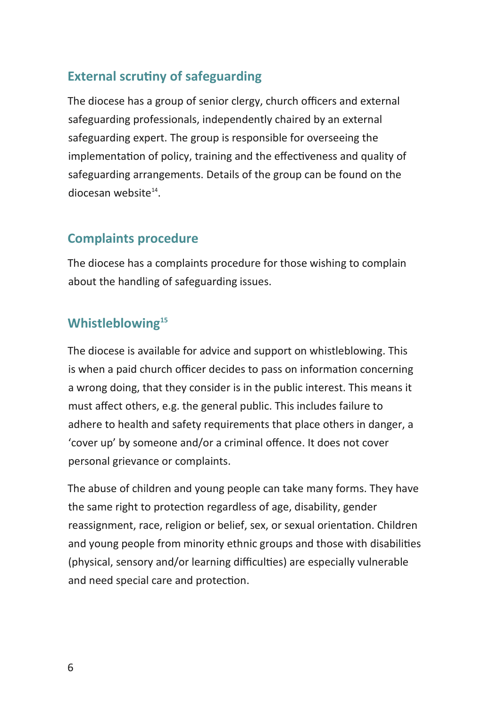#### **External scrutiny of safeguarding**

The diocese has a group of senior clergy, church officers and external safeguarding professionals, independently chaired by an external safeguarding expert. The group is responsible for overseeing the implementation of policy, training and the effectiveness and quality of safeguarding arrangements. Details of the group can be found on the diocesan website<sup>14</sup>.

#### **Complaints procedure**

The diocese has a complaints procedure for those wishing to complain about the handling of safeguarding issues.

#### **Whistleblowing<sup>15</sup>**

The diocese is available for advice and support on whistleblowing. This is when a paid church officer decides to pass on information concerning a wrong doing, that they consider is in the public interest. This means it must affect others, e.g. the general public. This includes failure to adhere to health and safety requirements that place others in danger, a 'cover up' by someone and/or a criminal offence. It does not cover personal grievance or complaints.

The abuse of children and young people can take many forms. They have the same right to protection regardless of age, disability, gender reassignment, race, religion or belief, sex, or sexual orientation. Children and young people from minority ethnic groups and those with disabilities (physical, sensory and/or learning difficulties) are especially vulnerable and need special care and protection.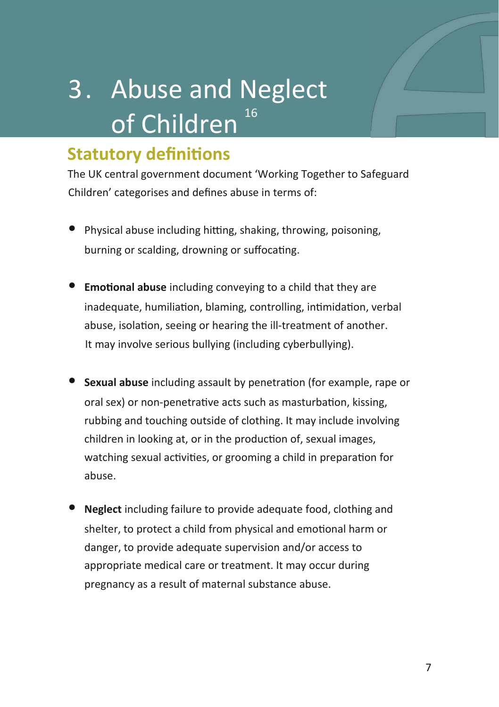# 3. Abuse and Neglect of Children<sup>16</sup>

### **Statutory definitions**

The UK central government document 'Working Together to Safeguard Children' categorises and defines abuse in terms of:

- Physical abuse including hitting, shaking, throwing, poisoning, burning or scalding, drowning or suffocating.
- **Emotional abuse** including conveying to a child that they are inadequate, humiliation, blaming, controlling, intimidation, verbal abuse, isolation, seeing or hearing the ill-treatment of another. It may involve serious bullying (including cyberbullying).
- **Sexual abuse** including assault by penetration (for example, rape or oral sex) or non-penetrative acts such as masturbation, kissing, rubbing and touching outside of clothing. It may include involving children in looking at, or in the production of, sexual images, watching sexual activities, or grooming a child in preparation for abuse.
- **Neglect** including failure to provide adequate food, clothing and shelter, to protect a child from physical and emotional harm or danger, to provide adequate supervision and/or access to appropriate medical care or treatment. It may occur during pregnancy as a result of maternal substance abuse.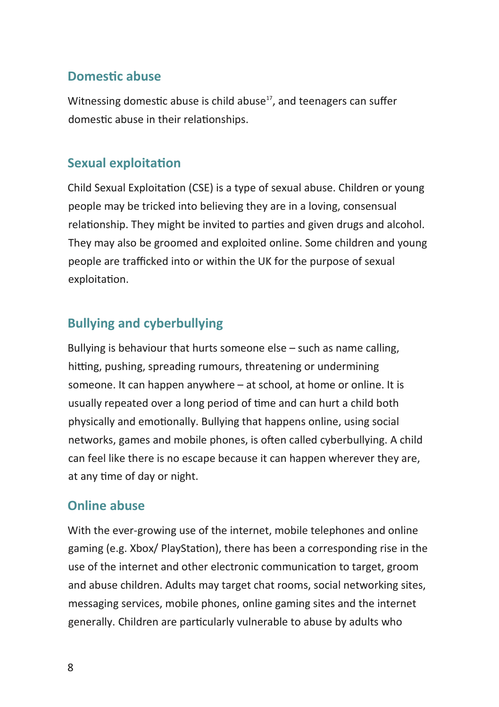#### **Domestic abuse**

Witnessing domestic abuse is child abuse<sup>17</sup>, and teenagers can suffer domestic abuse in their relationships.

#### **Sexual exploitation**

Child Sexual Exploitation (CSE) is a type of sexual abuse. Children or young people may be tricked into believing they are in a loving, consensual relationship. They might be invited to parties and given drugs and alcohol. They may also be groomed and exploited online. Some children and young people are trafficked into or within the UK for the purpose of sexual exploitation.

#### **Bullying and cyberbullying**

Bullying is behaviour that hurts someone else – such as name calling, hitting, pushing, spreading rumours, threatening or undermining someone. It can happen anywhere – at school, at home or online. It is usually repeated over a long period of time and can hurt a child both physically and emotionally. Bullying that happens online, using social networks, games and mobile phones, is often called cyberbullying. A child can feel like there is no escape because it can happen wherever they are, at any time of day or night.

#### **Online abuse**

With the ever-growing use of the internet, mobile telephones and online gaming (e.g. Xbox/ PlayStation), there has been a corresponding rise in the use of the internet and other electronic communication to target, groom and abuse children. Adults may target chat rooms, social networking sites, messaging services, mobile phones, online gaming sites and the internet generally. Children are particularly vulnerable to abuse by adults who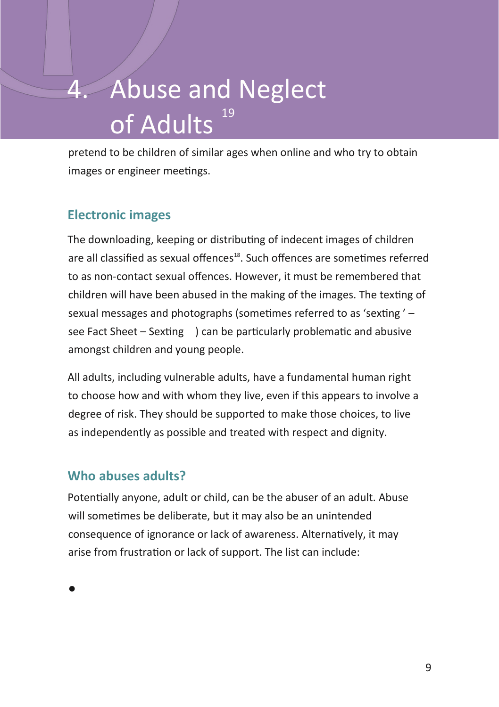# Abuse and Neglect of  $\overline{\mathsf{A} \mathsf{dults}^{\frac{19}{}}$

pretend to be children of similar ages when online and who try to obtain images or engineer meetings.

#### **Electronic images**

The downloading, keeping or distributing of indecent images of children are all classified as sexual offences<sup>18</sup>. Such offences are sometimes referred to as non-contact sexual offences. However, it must be remembered that children will have been abused in the making of the images. The texting of sexual messages and photographs (sometimes referred to as 'sexting ' – see Fact Sheet – Sexting ) can be particularly problematic and abusive amongst children and young people.

All adults, including vulnerable adults, have a fundamental human right to choose how and with whom they live, even if this appears to involve a degree of risk. They should be supported to make those choices, to live as independently as possible and treated with respect and dignity.

#### **Who abuses adults?**

Potentially anyone, adult or child, can be the abuser of an adult. Abuse will sometimes be deliberate, but it may also be an unintended consequence of ignorance or lack of awareness. Alternatively, it may arise from frustration or lack of support. The list can include:

•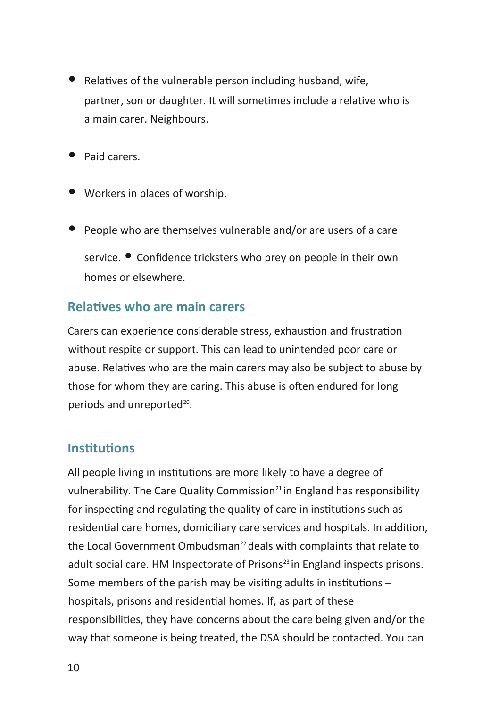- Relatives of the vulnerable person including husband, wife, partner, son or daughter. It will sometimes include a relative who is a main carer. Neighbours.
- Paid carers.
- Workers in places of worship.
- People who are themselves vulnerable and/or are users of a care service. • Confidence tricksters who prey on people in their own homes or elsewhere.

#### **Relatives who are main carers**

Carers can experience considerable stress, exhaustion and frustration without respite or support. This can lead to unintended poor care or abuse. Relatives who are the main carers may also be subject to abuse by those for whom they are caring. This abuse is often endured for long periods and unreported<sup>20</sup>.

#### **Institutions**

All people living in institutions are more likely to have a degree of vulnerability. The Care Quality Commission $^{21}$  in England has responsibility for inspecting and regulating the quality of care in institutions such as residential care homes, domiciliary care services and hospitals. In addition, the Local Government Ombudsman<sup>22</sup> deals with complaints that relate to adult social care. HM Inspectorate of Prisons<sup>23</sup> in England inspects prisons. Some members of the parish may be visiting adults in institutions – hospitals, prisons and residential homes. If, as part of these responsibilities, they have concerns about the care being given and/or the way that someone is being treated, the DSA should be contacted. You can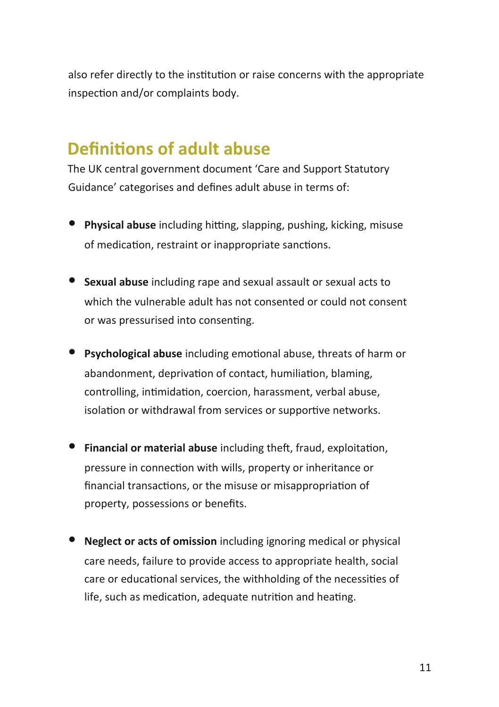also refer directly to the institution or raise concerns with the appropriate inspection and/or complaints body.

### **Definitions of adult abuse**

The UK central government document 'Care and Support Statutory Guidance' categorises and defines adult abuse in terms of:

- **Physical abuse** including hitting, slapping, pushing, kicking, misuse of medication, restraint or inappropriate sanctions.
- **Sexual abuse** including rape and sexual assault or sexual acts to which the vulnerable adult has not consented or could not consent or was pressurised into consenting.
- **Psychological abuse** including emotional abuse, threats of harm or abandonment, deprivation of contact, humiliation, blaming, controlling, intimidation, coercion, harassment, verbal abuse, isolation or withdrawal from services or supportive networks.
- **Financial or material abuse** including theft, fraud, exploitation, pressure in connection with wills, property or inheritance or financial transactions, or the misuse or misappropriation of property, possessions or benefits.
- **Neglect or acts of omission** including ignoring medical or physical care needs, failure to provide access to appropriate health, social care or educational services, the withholding of the necessities of life, such as medication, adequate nutrition and heating.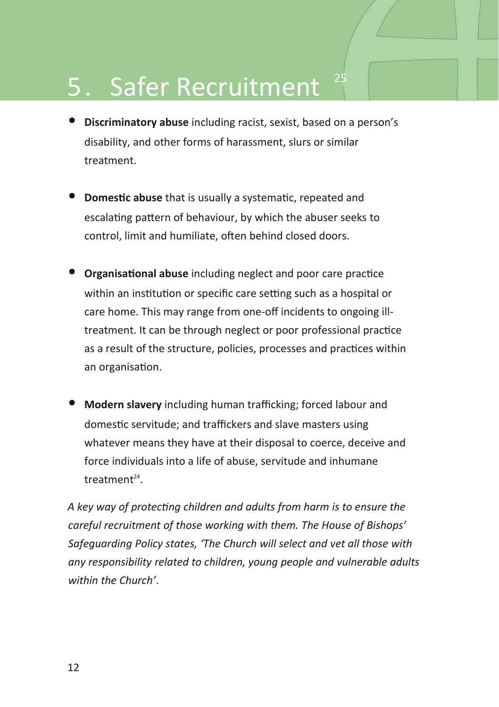# 5. Safer Recruitment

- **Discriminatory abuse** including racist, sexist, based on a person's disability, and other forms of harassment, slurs or similar treatment.
- **Domestic abuse** that is usually a systematic, repeated and escalating pattern of behaviour, by which the abuser seeks to control, limit and humiliate, often behind closed doors.
- **Organisational abuse** including neglect and poor care practice within an institution or specific care setting such as a hospital or care home. This may range from one-off incidents to ongoing illtreatment. It can be through neglect or poor professional practice as a result of the structure, policies, processes and practices within an organisation.
- **Modern slavery** including human trafficking; forced labour and domestic servitude; and traffickers and slave masters using whatever means they have at their disposal to coerce, deceive and force individuals into a life of abuse, servitude and inhumane treatment<sup>24</sup>.

*A key way of protecting children and adults from harm is to ensure the careful recruitment of those working with them. The House of Bishops' Safeguarding Policy states, 'The Church will select and vet all those with any responsibility related to children, young people and vulnerable adults within the Church'*.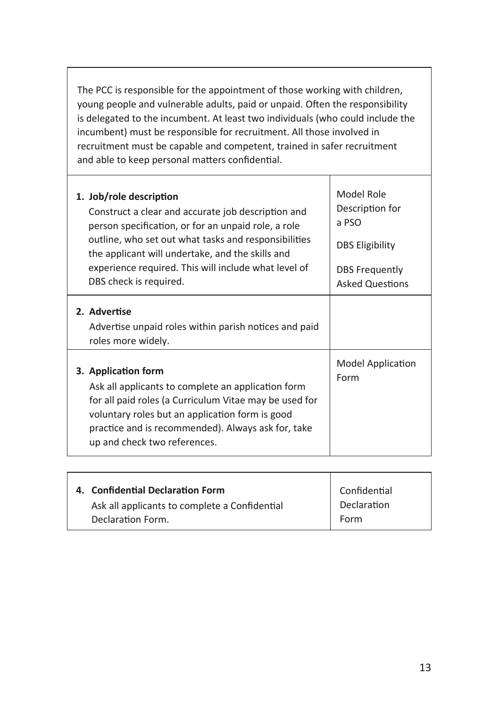The PCC is responsible for the appointment of those working with children, young people and vulnerable adults, paid or unpaid. Often the responsibility is delegated to the incumbent. At least two individuals (who could include the incumbent) must be responsible for recruitment. All those involved in recruitment must be capable and competent, trained in safer recruitment and able to keep personal matters confidential.

| 1. Job/role description<br>Construct a clear and accurate job description and<br>person specification, or for an unpaid role, a role<br>outline, who set out what tasks and responsibilities<br>the applicant will undertake, and the skills and<br>experience required. This will include what level of<br>DBS check is required. | Model Role<br>Description for<br>a PSO<br><b>DBS Eligibility</b><br><b>DBS Frequently</b><br><b>Asked Questions</b> |
|------------------------------------------------------------------------------------------------------------------------------------------------------------------------------------------------------------------------------------------------------------------------------------------------------------------------------------|---------------------------------------------------------------------------------------------------------------------|
| 2. Advertise<br>Advertise unpaid roles within parish notices and paid<br>roles more widely.                                                                                                                                                                                                                                        |                                                                                                                     |
| 3. Application form<br>Ask all applicants to complete an application form<br>for all paid roles (a Curriculum Vitae may be used for<br>voluntary roles but an application form is good<br>practice and is recommended). Always ask for, take<br>up and check two references.                                                       | Model Application<br>Form                                                                                           |

| 4. Confidential Declaration Form              | Confidential |
|-----------------------------------------------|--------------|
| Ask all applicants to complete a Confidential | Declaration  |
| Declaration Form.                             | Form         |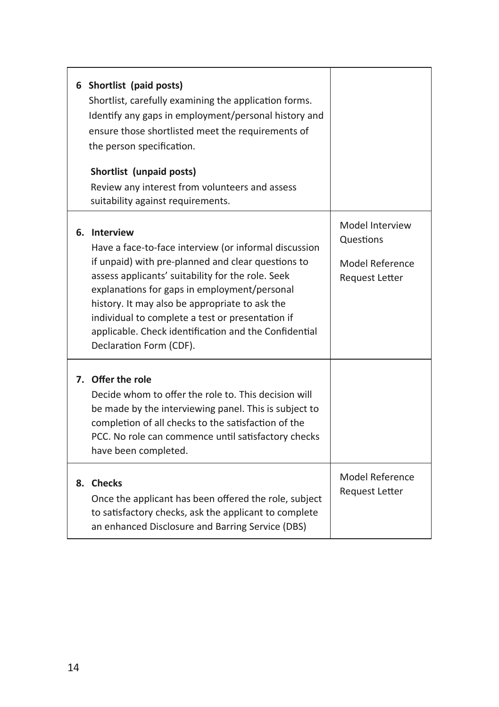| 6 Shortlist (paid posts)<br>Shortlist, carefully examining the application forms.<br>Identify any gaps in employment/personal history and<br>ensure those shortlisted meet the requirements of<br>the person specification.<br>Shortlist (unpaid posts)<br>Review any interest from volunteers and assess<br>suitability against requirements.                                                                             |                                                                          |
|----------------------------------------------------------------------------------------------------------------------------------------------------------------------------------------------------------------------------------------------------------------------------------------------------------------------------------------------------------------------------------------------------------------------------|--------------------------------------------------------------------------|
| 6. Interview<br>Have a face-to-face interview (or informal discussion<br>if unpaid) with pre-planned and clear questions to<br>assess applicants' suitability for the role. Seek<br>explanations for gaps in employment/personal<br>history. It may also be appropriate to ask the<br>individual to complete a test or presentation if<br>applicable. Check identification and the Confidential<br>Declaration Form (CDF). | Model Interview<br>Questions<br>Model Reference<br><b>Request Letter</b> |
| 7. Offer the role<br>Decide whom to offer the role to. This decision will<br>be made by the interviewing panel. This is subject to<br>completion of all checks to the satisfaction of the<br>PCC. No role can commence until satisfactory checks<br>have been completed.                                                                                                                                                   |                                                                          |
| 8. Checks<br>Once the applicant has been offered the role, subject<br>to satisfactory checks, ask the applicant to complete<br>an enhanced Disclosure and Barring Service (DBS)                                                                                                                                                                                                                                            | Model Reference<br><b>Request Letter</b>                                 |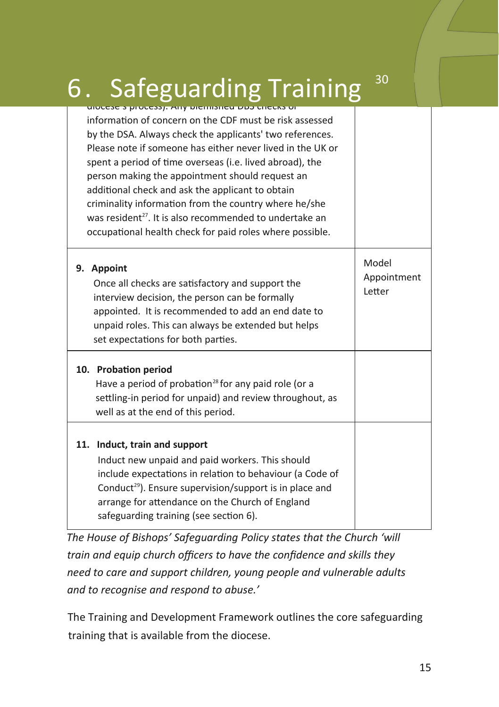# 6. Safeguarding Training  $30$

| וט כאשטוט כפש שטוווטווכט ווא זוכרוווס כ שנסטטוט                                                                                                                                                                                                                                                                                                                                                                                                                                                                                                  |                                |
|--------------------------------------------------------------------------------------------------------------------------------------------------------------------------------------------------------------------------------------------------------------------------------------------------------------------------------------------------------------------------------------------------------------------------------------------------------------------------------------------------------------------------------------------------|--------------------------------|
| information of concern on the CDF must be risk assessed<br>by the DSA. Always check the applicants' two references.<br>Please note if someone has either never lived in the UK or<br>spent a period of time overseas (i.e. lived abroad), the<br>person making the appointment should request an<br>additional check and ask the applicant to obtain<br>criminality information from the country where he/she<br>was resident <sup>27</sup> . It is also recommended to undertake an<br>occupational health check for paid roles where possible. |                                |
| 9. Appoint<br>Once all checks are satisfactory and support the<br>interview decision, the person can be formally<br>appointed. It is recommended to add an end date to<br>unpaid roles. This can always be extended but helps<br>set expectations for both parties.                                                                                                                                                                                                                                                                              | Model<br>Appointment<br>Letter |
| 10. Probation period<br>Have a period of probation <sup>28</sup> for any paid role (or a<br>settling-in period for unpaid) and review throughout, as<br>well as at the end of this period.                                                                                                                                                                                                                                                                                                                                                       |                                |
| 11. Induct, train and support<br>Induct new unpaid and paid workers. This should<br>include expectations in relation to behaviour (a Code of<br>Conduct <sup>29</sup> ). Ensure supervision/support is in place and<br>arrange for attendance on the Church of England<br>safeguarding training (see section 6).                                                                                                                                                                                                                                 |                                |

*The House of Bishops' Safeguarding Policy states that the Church 'will train and equip church officers to have the confidence and skills they need to care and support children, young people and vulnerable adults and to recognise and respond to abuse.'* 

The Training and Development Framework outlines the core safeguarding training that is available from the diocese.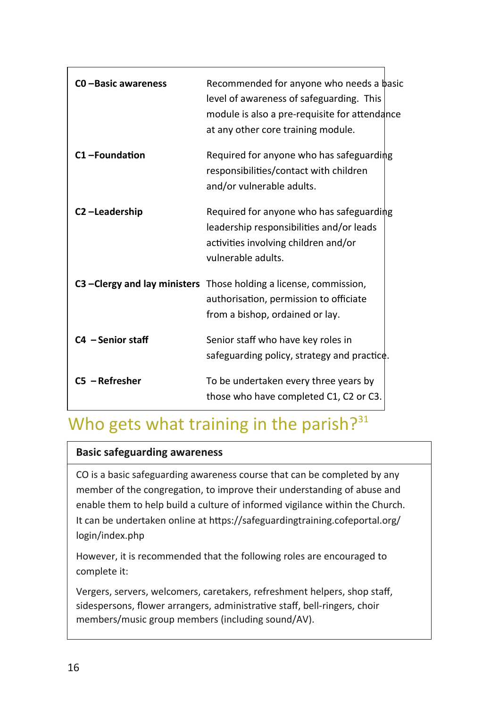| CO-Basic awareness | Recommended for anyone who needs a basic<br>level of awareness of safeguarding. This<br>module is also a pre-requisite for attendance<br>at any other core training module. |
|--------------------|-----------------------------------------------------------------------------------------------------------------------------------------------------------------------------|
| C1-Foundation      | Required for anyone who has safeguarding<br>responsibilities/contact with children<br>and/or vulnerable adults.                                                             |
| C2-Leadership      | Required for anyone who has safeguarding<br>leadership responsibilities and/or leads<br>activities involving children and/or<br>vulnerable adults.                          |
|                    | C3 – Clergy and lay ministers Those holding a license, commission,<br>authorisation, permission to officiate<br>from a bishop, ordained or lay.                             |
| C4 - Senior staff  | Senior staff who have key roles in<br>safeguarding policy, strategy and practice.                                                                                           |
| $CS - Refresher$   | To be undertaken every three years by<br>those who have completed C1, C2 or C3.                                                                                             |

# Who gets what training in the parish? $31$

#### **Basic safeguarding awareness**

CO is a basic safeguarding awareness course that can be completed by any member of the congregation, to improve their understanding of abuse and enable them to help build a culture of informed vigilance within the Church. It can be undertaken online at https://safeguardingtraining.cofeportal.org/ login/index.php

However, it is recommended that the following roles are encouraged to complete it:

Vergers, servers, welcomers, caretakers, refreshment helpers, shop staff, sidespersons, flower arrangers, administrative staff, bell-ringers, choir members/music group members (including sound/AV).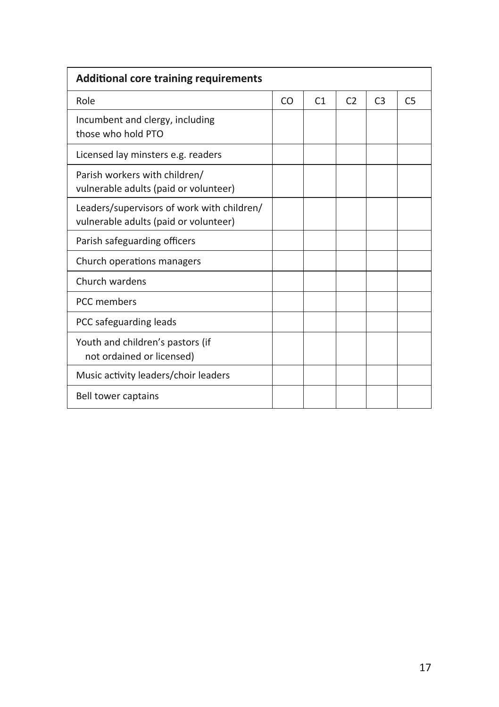| <b>Additional core training requirements</b>                                        |    |                |                |                |                |
|-------------------------------------------------------------------------------------|----|----------------|----------------|----------------|----------------|
| Role                                                                                | CO | C <sub>1</sub> | C <sub>2</sub> | C <sub>3</sub> | C <sub>5</sub> |
| Incumbent and clergy, including<br>those who hold PTO                               |    |                |                |                |                |
| Licensed lay minsters e.g. readers                                                  |    |                |                |                |                |
| Parish workers with children/<br>vulnerable adults (paid or volunteer)              |    |                |                |                |                |
| Leaders/supervisors of work with children/<br>vulnerable adults (paid or volunteer) |    |                |                |                |                |
| Parish safeguarding officers                                                        |    |                |                |                |                |
| Church operations managers                                                          |    |                |                |                |                |
| Church wardens                                                                      |    |                |                |                |                |
| PCC members                                                                         |    |                |                |                |                |
| PCC safeguarding leads                                                              |    |                |                |                |                |
| Youth and children's pastors (if<br>not ordained or licensed)                       |    |                |                |                |                |
| Music activity leaders/choir leaders                                                |    |                |                |                |                |
| Bell tower captains                                                                 |    |                |                |                |                |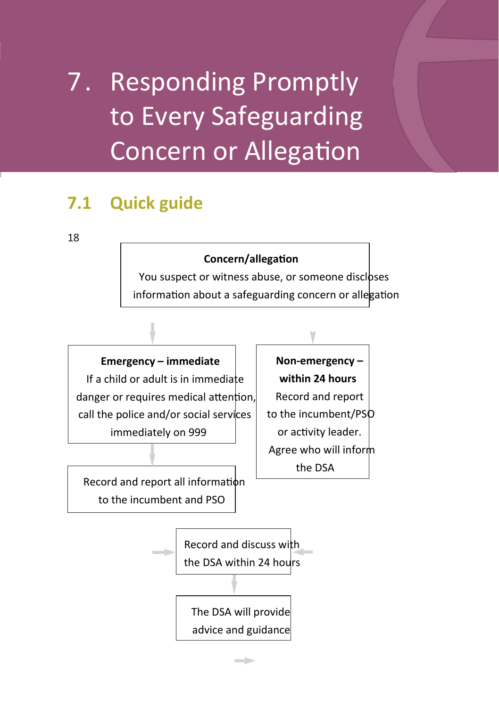# 7. Responding Promptly to Every Safeguarding Concern or Allegation

### **7.1 Quick guide**

18

#### **Concern/allegation**

You suspect or witness abuse, or someone discloses information about a safeguarding concern or allegation

**Emergency – immediate** If a child or adult is in immediate danger or requires medical attention, call the police and/or social services immediately on 999

Record and report all information to the incumbent and PSO

**Non-emergency – within 24 hours** Record and report to the incumbent/PSO or activity leader. Agree who will inform the DSA

Record and discuss with the DSA within 24 hours

The DSA will provide advice and guidance

 $\overline{\phantom{a}}$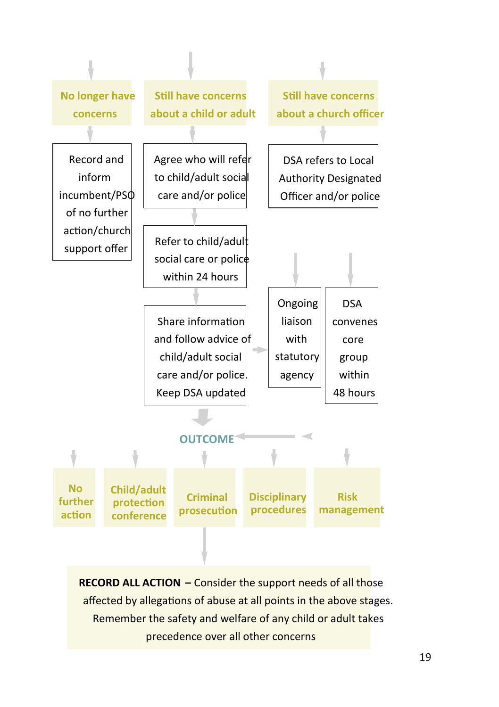

**RECORD ALL ACTION –** Consider the support needs of all those affected by allegations of abuse at all points in the above stages. Remember the safety and welfare of any child or adult takes precedence over all other concerns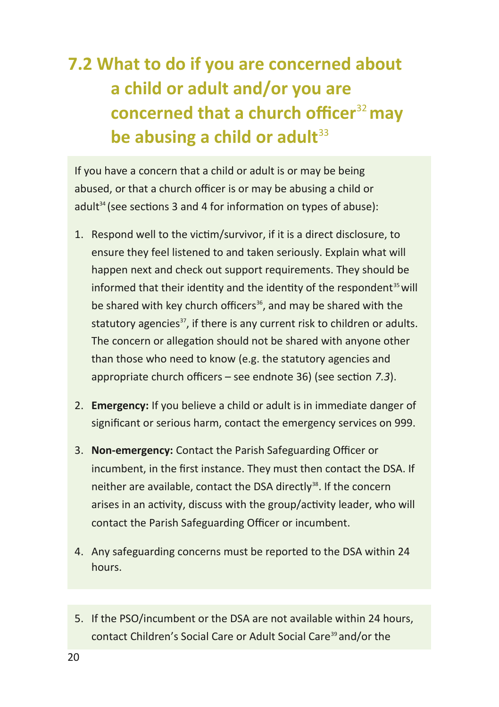## **7.2 What to do if you are concerned about a child or adult and/or you are concerned that a church officer**<sup>32</sup>**may be abusing a child or adult**<sup>33</sup>

If you have a concern that a child or adult is or may be being abused, or that a church officer is or may be abusing a child or adult<sup>34</sup> (see sections 3 and 4 for information on types of abuse):

- 1. Respond well to the victim/survivor, if it is a direct disclosure, to ensure they feel listened to and taken seriously. Explain what will happen next and check out support requirements. They should be informed that their identity and the identity of the respondent<sup>35</sup> will be shared with key church officers<sup>36</sup>, and may be shared with the statutory agencies<sup>37</sup>, if there is any current risk to children or adults. The concern or allegation should not be shared with anyone other than those who need to know (e.g. the statutory agencies and appropriate church officers – see endnote 36) (see section *7.3*).
- 2. **Emergency:** If you believe a child or adult is in immediate danger of significant or serious harm, contact the emergency services on 999.
- 3. **Non-emergency:** Contact the Parish Safeguarding Officer or incumbent, in the first instance. They must then contact the DSA. If neither are available, contact the DSA directly<sup>38</sup>. If the concern arises in an activity, discuss with the group/activity leader, who will contact the Parish Safeguarding Officer or incumbent.
- 4. Any safeguarding concerns must be reported to the DSA within 24 hours.
- 5. If the PSO/incumbent or the DSA are not available within 24 hours, contact Children's Social Care or Adult Social Care<sup>39</sup> and/or the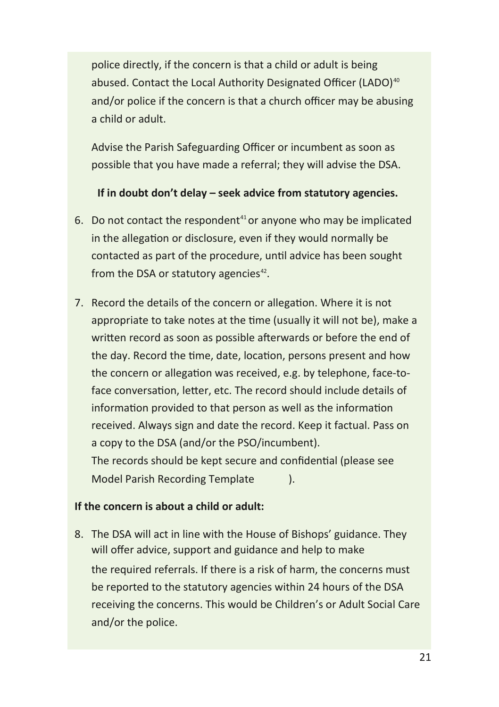police directly, if the concern is that a child or adult is being abused. Contact the Local Authority Designated Officer (LADO)<sup>40</sup> and/or police if the concern is that a church officer may be abusing a child or adult.

Advise the Parish Safeguarding Officer or incumbent as soon as possible that you have made a referral; they will advise the DSA.

**If in doubt don't delay – seek advice from statutory agencies.**

- 6. Do not contact the respondent $41$  or anyone who may be implicated in the allegation or disclosure, even if they would normally be contacted as part of the procedure, until advice has been sought from the DSA or statutory agencies $42$ .
- 7. Record the details of the concern or allegation. Where it is not appropriate to take notes at the time (usually it will not be), make a written record as soon as possible afterwards or before the end of the day. Record the time, date, location, persons present and how the concern or allegation was received, e.g. by telephone, face-toface conversation, letter, etc. The record should include details of information provided to that person as well as the information received. Always sign and date the record. Keep it factual. Pass on a copy to the DSA (and/or the PSO/incumbent). The records should be kept secure and confidential (please see Model Parish Recording Template ).

#### **If the concern is about a child or adult:**

8. The DSA will act in line with the House of Bishops' guidance. They will offer advice, support and guidance and help to make the required referrals. If there is a risk of harm, the concerns must be reported to the statutory agencies within 24 hours of the DSA receiving the concerns. This would be Children's or Adult Social Care and/or the police.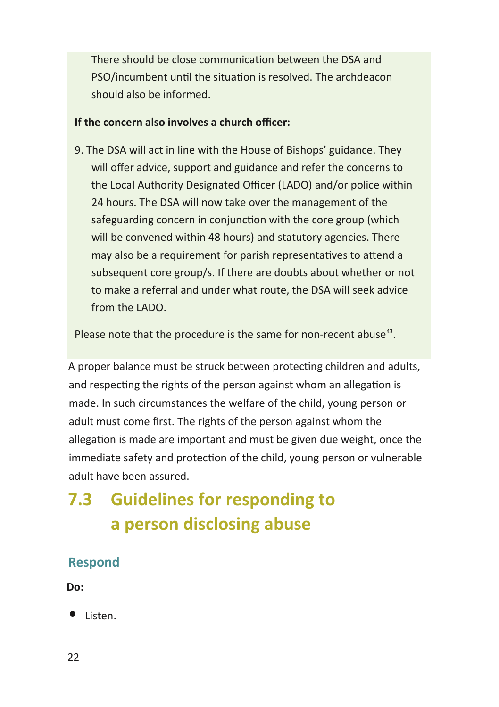There should be close communication between the DSA and PSO/incumbent until the situation is resolved. The archdeacon should also be informed.

#### **If the concern also involves a church officer:**

9. The DSA will act in line with the House of Bishops' guidance. They will offer advice, support and guidance and refer the concerns to the Local Authority Designated Officer (LADO) and/or police within 24 hours. The DSA will now take over the management of the safeguarding concern in conjunction with the core group (which will be convened within 48 hours) and statutory agencies. There may also be a requirement for parish representatives to attend a subsequent core group/s. If there are doubts about whether or not to make a referral and under what route, the DSA will seek advice from the LADO.

Please note that the procedure is the same for non-recent abuse $43$ .

A proper balance must be struck between protecting children and adults, and respecting the rights of the person against whom an allegation is made. In such circumstances the welfare of the child, young person or adult must come first. The rights of the person against whom the allegation is made are important and must be given due weight, once the immediate safety and protection of the child, young person or vulnerable adult have been assured.

### **7.3 Guidelines for responding to a person disclosing abuse**

#### **Respond**

**Do:**

• Listen.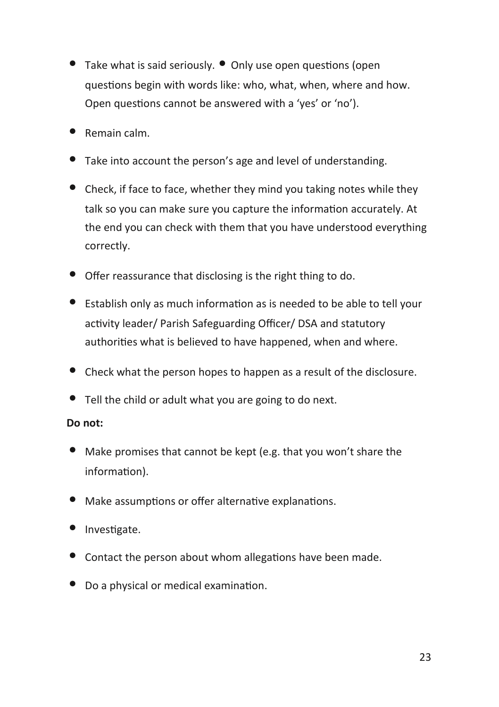- Take what is said seriously. Only use open questions (open questions begin with words like: who, what, when, where and how. Open questions cannot be answered with a 'yes' or 'no').
- Remain calm.
- Take into account the person's age and level of understanding.
- Check, if face to face, whether they mind you taking notes while they talk so you can make sure you capture the information accurately. At the end you can check with them that you have understood everything correctly.
- Offer reassurance that disclosing is the right thing to do.
- Establish only as much information as is needed to be able to tell your activity leader/ Parish Safeguarding Officer/ DSA and statutory authorities what is believed to have happened, when and where.
- Check what the person hopes to happen as a result of the disclosure.
- Tell the child or adult what you are going to do next.

#### **Do not:**

- Make promises that cannot be kept (e.g. that you won't share the information).
- Make assumptions or offer alternative explanations.
- Investigate.
- Contact the person about whom allegations have been made.
- Do a physical or medical examination.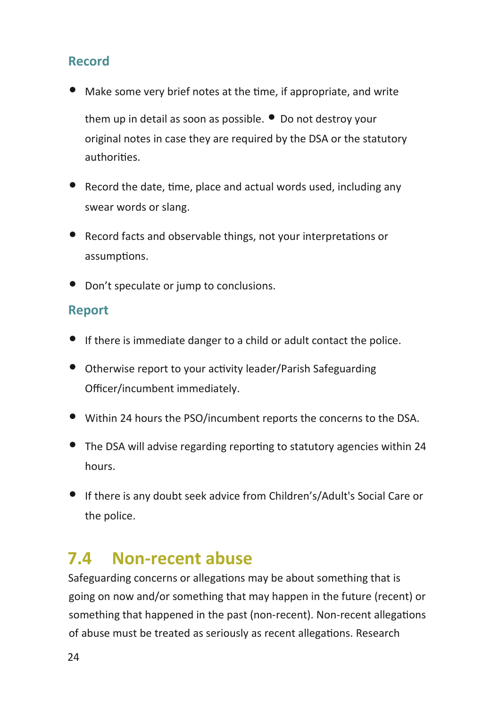#### **Record**

• Make some very brief notes at the time, if appropriate, and write them up in detail as soon as possible. • Do not destroy your

original notes in case they are required by the DSA or the statutory authorities.

- Record the date, time, place and actual words used, including any swear words or slang.
- Record facts and observable things, not your interpretations or assumptions.
- Don't speculate or jump to conclusions.

#### **Report**

- If there is immediate danger to a child or adult contact the police.
- Otherwise report to your activity leader/Parish Safeguarding Officer/incumbent immediately.
- Within 24 hours the PSO/incumbent reports the concerns to the DSA.
- The DSA will advise regarding reporting to statutory agencies within 24 hours.
- If there is any doubt seek advice from Children's/Adult's Social Care or the police.

### **7.4 Non-recent abuse**

Safeguarding concerns or allegations may be about something that is going on now and/or something that may happen in the future (recent) or something that happened in the past (non-recent). Non-recent allegations of abuse must be treated as seriously as recent allegations. Research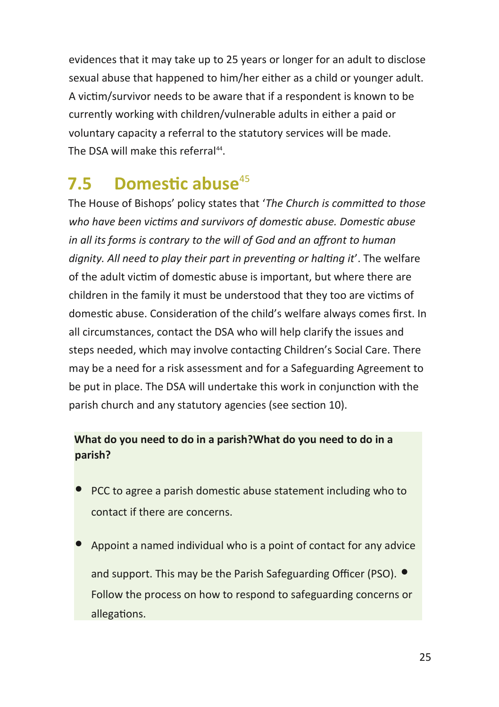evidences that it may take up to 25 years or longer for an adult to disclose sexual abuse that happened to him/her either as a child or younger adult. A victim/survivor needs to be aware that if a respondent is known to be currently working with children/vulnerable adults in either a paid or voluntary capacity a referral to the statutory services will be made. The DSA will make this referral<sup>44</sup>.

### **7.5 Domestic abuse**<sup>45</sup>

The House of Bishops' policy states that '*The Church is committed to those who have been victims and survivors of domestic abuse. Domestic abuse in all its forms is contrary to the will of God and an affront to human dignity. All need to play their part in preventing or halting it*'. The welfare of the adult victim of domestic abuse is important, but where there are children in the family it must be understood that they too are victims of domestic abuse. Consideration of the child's welfare always comes first. In all circumstances, contact the DSA who will help clarify the issues and steps needed, which may involve contacting Children's Social Care. There may be a need for a risk assessment and for a Safeguarding Agreement to be put in place. The DSA will undertake this work in conjunction with the parish church and any statutory agencies (see section 10).

#### **What do you need to do in a parish?What do you need to do in a parish?**

- PCC to agree a parish domestic abuse statement including who to contact if there are concerns.
- Appoint a named individual who is a point of contact for any advice and support. This may be the Parish Safeguarding Officer (PSO).  $\bullet$ Follow the process on how to respond to safeguarding concerns or allegations.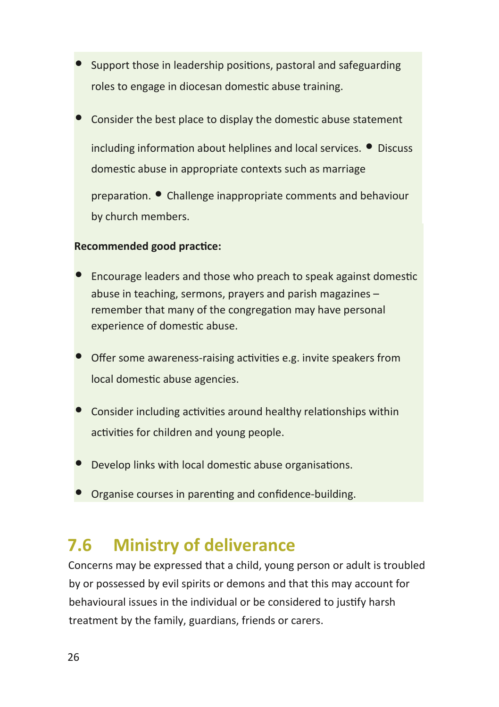- Support those in leadership positions, pastoral and safeguarding roles to engage in diocesan domestic abuse training.
- Consider the best place to display the domestic abuse statement including information about helplines and local services. • Discuss domestic abuse in appropriate contexts such as marriage

preparation. • Challenge inappropriate comments and behaviour by church members.

#### **Recommended good practice:**

- Encourage leaders and those who preach to speak against domestic abuse in teaching, sermons, prayers and parish magazines – remember that many of the congregation may have personal experience of domestic abuse.
- Offer some awareness-raising activities e.g. invite speakers from local domestic abuse agencies.
- Consider including activities around healthy relationships within activities for children and young people.
- Develop links with local domestic abuse organisations.
- Organise courses in parenting and confidence-building.

### **7.6 Ministry of deliverance**

Concerns may be expressed that a child, young person or adult is troubled by or possessed by evil spirits or demons and that this may account for behavioural issues in the individual or be considered to justify harsh treatment by the family, guardians, friends or carers.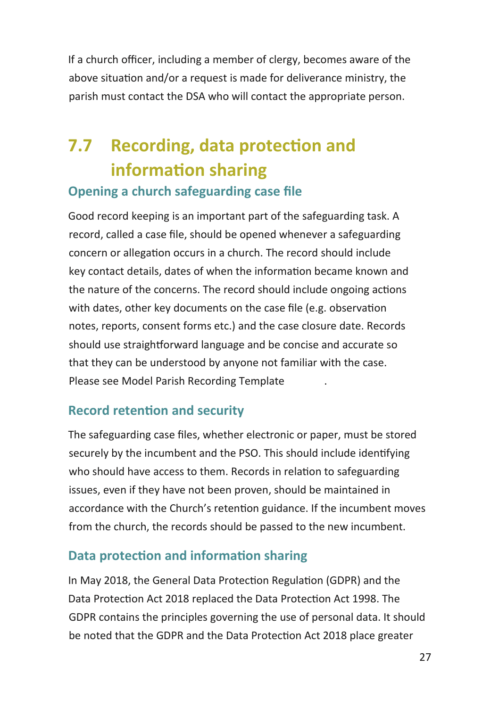If a church officer, including a member of clergy, becomes aware of the above situation and/or a request is made for deliverance ministry, the parish must contact the DSA who will contact the appropriate person.

### **7.7 Recording, data protection and information sharing Opening a church safeguarding case file**

### Good record keeping is an important part of the safeguarding task. A record, called a case file, should be opened whenever a safeguarding concern or allegation occurs in a church. The record should include key contact details, dates of when the information became known and the nature of the concerns. The record should include ongoing actions with dates, other key documents on the case file (e.g. observation notes, reports, consent forms etc.) and the case closure date. Records should use straightforward language and be concise and accurate so that they can be understood by anyone not familiar with the case. Please see Model Parish Recording Template .

#### **Record retention and security**

The safeguarding case files, whether electronic or paper, must be stored securely by the incumbent and the PSO. This should include identifying who should have access to them. Records in relation to safeguarding issues, even if they have not been proven, should be maintained in accordance with the Church's retention guidance. If the incumbent moves from the church, the records should be passed to the new incumbent.

#### **Data protection and information sharing**

In May 2018, the General Data Protection Regulation (GDPR) and the Data Protection Act 2018 replaced the Data Protection Act 1998. The GDPR contains the principles governing the use of personal data. It should be noted that the GDPR and the Data Protection Act 2018 place greater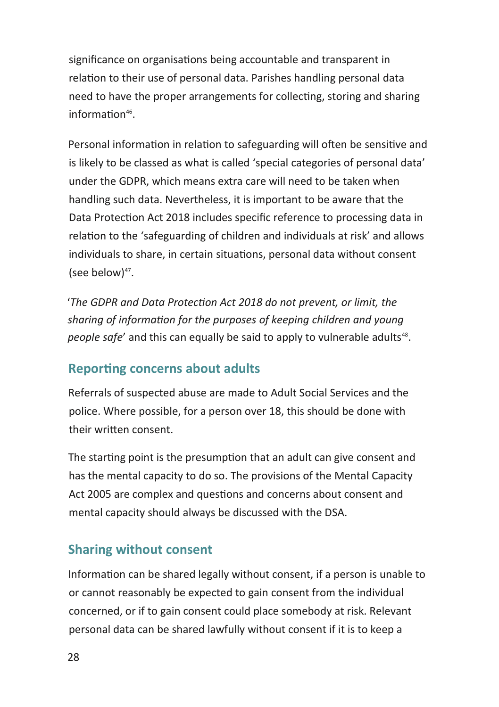significance on organisations being accountable and transparent in relation to their use of personal data. Parishes handling personal data need to have the proper arrangements for collecting, storing and sharing information<sup>46</sup>.

Personal information in relation to safeguarding will often be sensitive and is likely to be classed as what is called 'special categories of personal data' under the GDPR, which means extra care will need to be taken when handling such data. Nevertheless, it is important to be aware that the Data Protection Act 2018 includes specific reference to processing data in relation to the 'safeguarding of children and individuals at risk' and allows individuals to share, in certain situations, personal data without consent (see below) $47$ .

'*The GDPR and Data Protection Act 2018 do not prevent, or limit, the sharing of information for the purposes of keeping children and young*  people safe' and this can equally be said to apply to vulnerable adults<sup>48</sup>.

#### **Reporting concerns about adults**

Referrals of suspected abuse are made to Adult Social Services and the police. Where possible, for a person over 18, this should be done with their written consent.

The starting point is the presumption that an adult can give consent and has the mental capacity to do so. The provisions of the Mental Capacity Act 2005 are complex and questions and concerns about consent and mental capacity should always be discussed with the DSA.

#### **Sharing without consent**

Information can be shared legally without consent, if a person is unable to or cannot reasonably be expected to gain consent from the individual concerned, or if to gain consent could place somebody at risk. Relevant personal data can be shared lawfully without consent if it is to keep a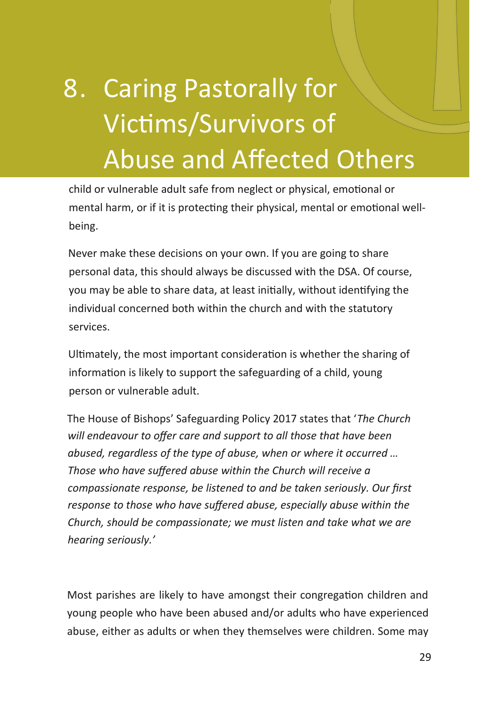# 8. Caring Pastorally for Victims/Survivors of Abuse and Affected Others

child or vulnerable adult safe from neglect or physical, emotional or mental harm, or if it is protecting their physical, mental or emotional wellbeing.

Never make these decisions on your own. If you are going to share personal data, this should always be discussed with the DSA. Of course, you may be able to share data, at least initially, without identifying the individual concerned both within the church and with the statutory services.

Ultimately, the most important consideration is whether the sharing of information is likely to support the safeguarding of a child, young person or vulnerable adult.

The House of Bishops' Safeguarding Policy 2017 states that '*The Church will endeavour to offer care and support to all those that have been abused, regardless of the type of abuse, when or where it occurred … Those who have suffered abuse within the Church will receive a compassionate response, be listened to and be taken seriously. Our first response to those who have suffered abuse, especially abuse within the Church, should be compassionate; we must listen and take what we are hearing seriously.'*

Most parishes are likely to have amongst their congregation children and young people who have been abused and/or adults who have experienced abuse, either as adults or when they themselves were children. Some may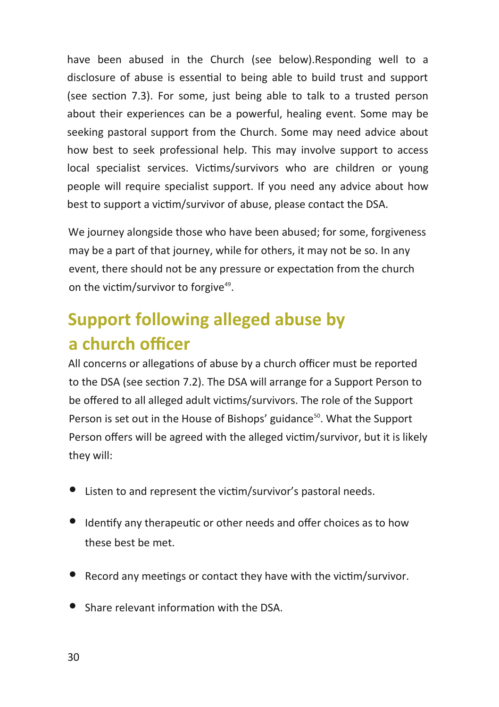have been abused in the Church (see below).Responding well to a disclosure of abuse is essential to being able to build trust and support (see section 7.3). For some, just being able to talk to a trusted person about their experiences can be a powerful, healing event. Some may be seeking pastoral support from the Church. Some may need advice about how best to seek professional help. This may involve support to access local specialist services. Victims/survivors who are children or young people will require specialist support. If you need any advice about how best to support a victim/survivor of abuse, please contact the DSA.

We journey alongside those who have been abused; for some, forgiveness may be a part of that journey, while for others, it may not be so. In any event, there should not be any pressure or expectation from the church on the victim/survivor to forgive<sup>49</sup>.

## **Support following alleged abuse by a church officer**

All concerns or allegations of abuse by a church officer must be reported to the DSA (see section 7.2). The DSA will arrange for a Support Person to be offered to all alleged adult victims/survivors. The role of the Support Person is set out in the House of Bishops' guidance<sup>50</sup>. What the Support Person offers will be agreed with the alleged victim/survivor, but it is likely they will:

- Listen to and represent the victim/survivor's pastoral needs.
- Identify any therapeutic or other needs and offer choices as to how these best be met.
- Record any meetings or contact they have with the victim/survivor.
- Share relevant information with the DSA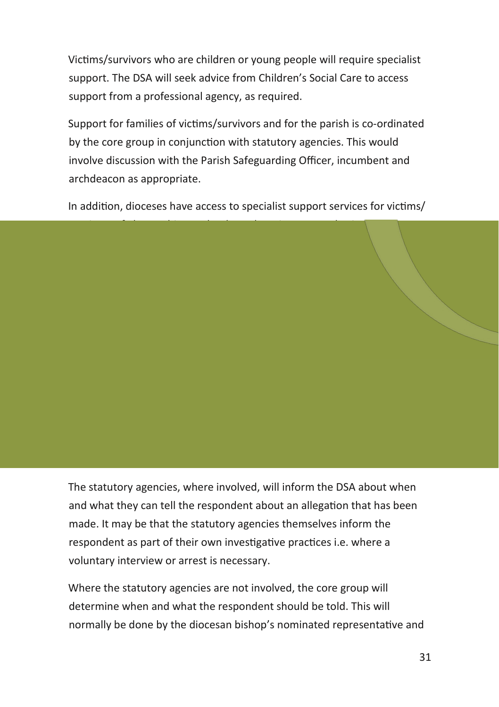Victims/survivors who are children or young people will require specialist support. The DSA will seek advice from Children's Social Care to access support from a professional agency, as required.

Support for families of victims/survivors and for the parish is co-ordinated by the core group in conjunction with statutory agencies. This would involve discussion with the Parish Safeguarding Officer, incumbent and archdeacon as appropriate.

In addition, dioceses have access to specialist support services for victims/ survivors of abuse. This may be through a Diocesan Authorised Listener or

a commissioned external service. The nature of any ongoing support  $\Lambda$ 

The statutory agencies, where involved, will inform the DSA about when and what they can tell the respondent about an allegation that has been made. It may be that the statutory agencies themselves inform the respondent as part of their own investigative practices i.e. where a voluntary interview or arrest is necessary.

Where the statutory agencies are not involved, the core group will determine when and what the respondent should be told. This will normally be done by the diocesan bishop's nominated representative and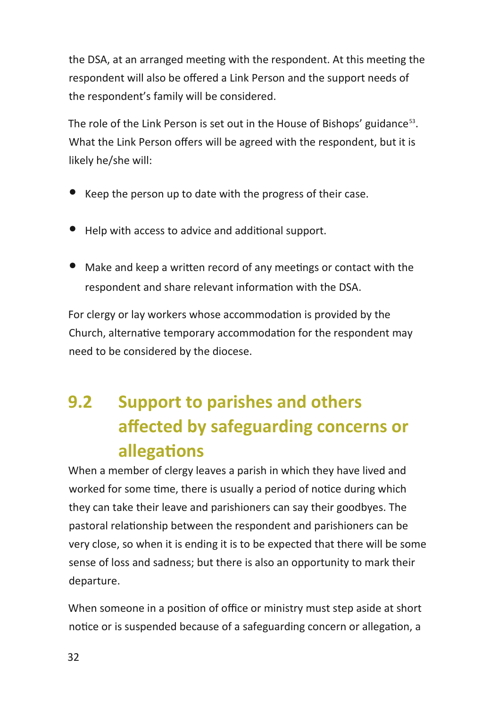the DSA, at an arranged meeting with the respondent. At this meeting the respondent will also be offered a Link Person and the support needs of the respondent's family will be considered.

The role of the Link Person is set out in the House of Bishops' guidance<sup>53</sup>. What the Link Person offers will be agreed with the respondent, but it is likely he/she will:

- Keep the person up to date with the progress of their case.
- Help with access to advice and additional support.
- Make and keep a written record of any meetings or contact with the respondent and share relevant information with the DSA.

For clergy or lay workers whose accommodation is provided by the Church, alternative temporary accommodation for the respondent may need to be considered by the diocese.

## **9.2 Support to parishes and others affected by safeguarding concerns or allegations**

When a member of clergy leaves a parish in which they have lived and worked for some time, there is usually a period of notice during which they can take their leave and parishioners can say their goodbyes. The pastoral relationship between the respondent and parishioners can be very close, so when it is ending it is to be expected that there will be some sense of loss and sadness; but there is also an opportunity to mark their departure.

When someone in a position of office or ministry must step aside at short notice or is suspended because of a safeguarding concern or allegation, a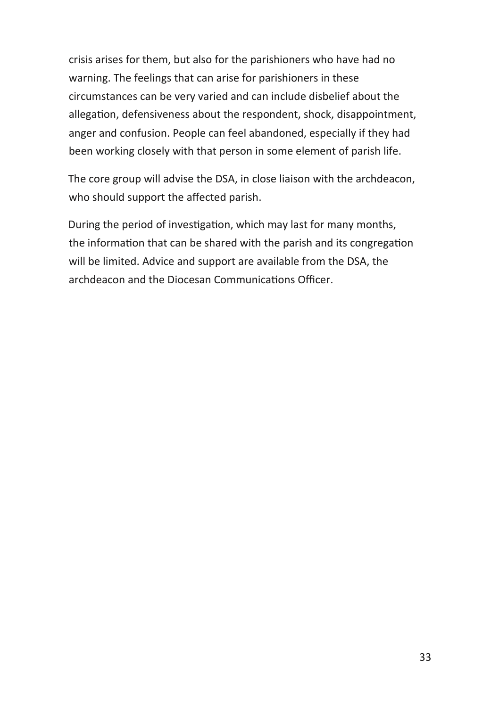crisis arises for them, but also for the parishioners who have had no warning. The feelings that can arise for parishioners in these circumstances can be very varied and can include disbelief about the allegation, defensiveness about the respondent, shock, disappointment, anger and confusion. People can feel abandoned, especially if they had been working closely with that person in some element of parish life.

The core group will advise the DSA, in close liaison with the archdeacon, who should support the affected parish.

During the period of investigation, which may last for many months, the information that can be shared with the parish and its congregation will be limited. Advice and support are available from the DSA, the archdeacon and the Diocesan Communications Officer.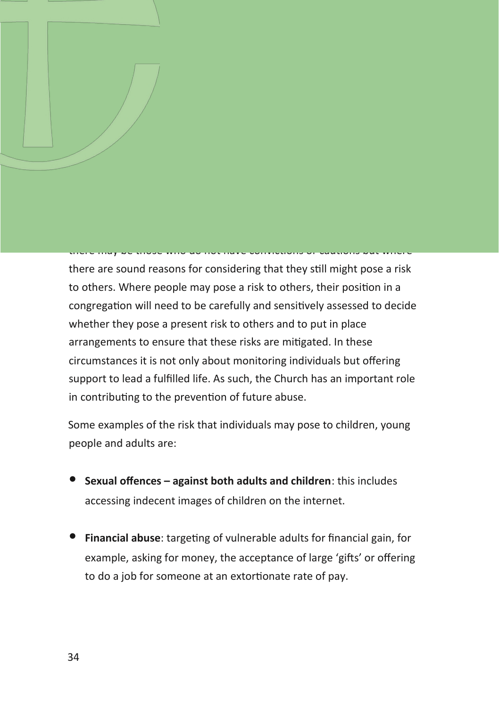#### there may be those who do not have convictions or cautions but where

10. Responding to Those who May Present a Known Risk to Children, Young People

or Vulnerable Adults within a Christian Congregation54

*therefore endeavour to offer pastoral care and support to any member of* 

The House of Bishops' Safeguarding Policy 2017 states, *'The Church, based on the message of the gospel, opens its doors to all. It will* 

there are sound reasons for considering that they still might pose a risk to others. Where people may pose a risk to others, their position in a congregation will need to be carefully and sensitively assessed to decide whether they pose a present risk to others and to put in place arrangements to ensure that these risks are mitigated. In these circumstances it is not only about monitoring individuals but offering support to lead a fulfilled life. As such, the Church has an important role in contributing to the prevention of future abuse.

Some examples of the risk that individuals may pose to children, young people and adults are:

- **Sexual offences against both adults and children**: this includes accessing indecent images of children on the internet.
- **Financial abuse**: targeting of vulnerable adults for financial gain, for example, asking for money, the acceptance of large 'gifts' or offering to do a job for someone at an extortionate rate of pay.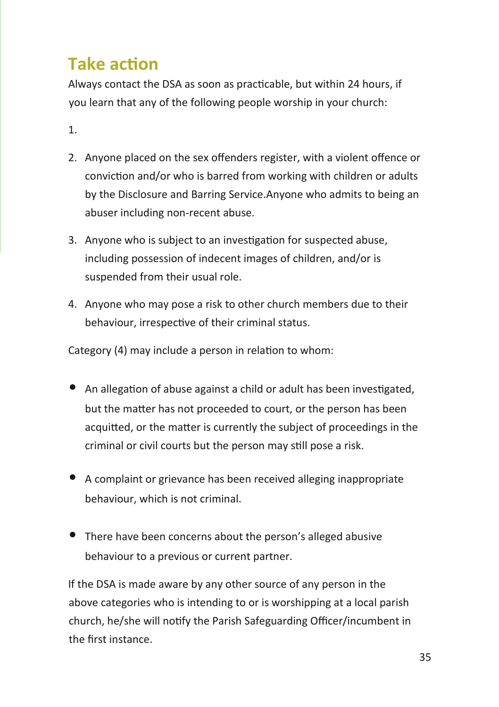### **Take action**

Always contact the DSA as soon as practicable, but within 24 hours, if you learn that any of the following people worship in your church:

1.

- 2. Anyone placed on the sex offenders register, with a violent offence or conviction and/or who is barred from working with children or adults by the Disclosure and Barring Service.Anyone who admits to being an abuser including non-recent abuse.
- 3. Anyone who is subject to an investigation for suspected abuse, including possession of indecent images of children, and/or is suspended from their usual role.
- 4. Anyone who may pose a risk to other church members due to their behaviour, irrespective of their criminal status.

Category (4) may include a person in relation to whom:

- An allegation of abuse against a child or adult has been investigated, but the matter has not proceeded to court, or the person has been acquitted, or the matter is currently the subject of proceedings in the criminal or civil courts but the person may still pose a risk.
- A complaint or grievance has been received alleging inappropriate behaviour, which is not criminal.
- There have been concerns about the person's alleged abusive behaviour to a previous or current partner.

If the DSA is made aware by any other source of any person in the above categories who is intending to or is worshipping at a local parish church, he/she will notify the Parish Safeguarding Officer/incumbent in the first instance.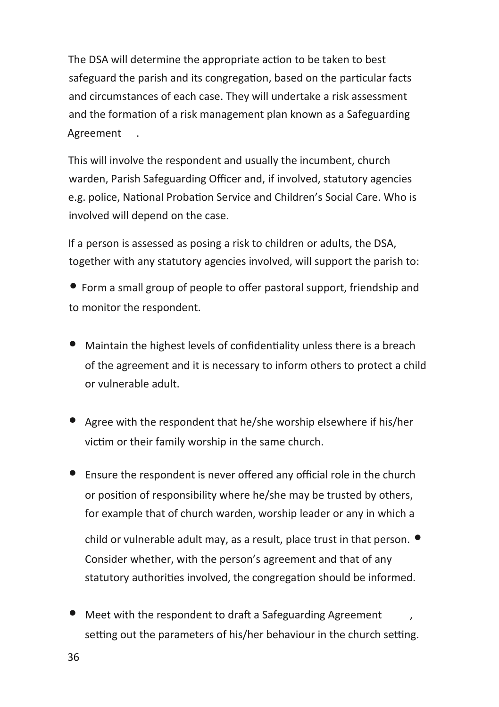The DSA will determine the appropriate action to be taken to best safeguard the parish and its congregation, based on the particular facts and circumstances of each case. They will undertake a risk assessment and the formation of a risk management plan known as a Safeguarding Agreement .

This will involve the respondent and usually the incumbent, church warden, Parish Safeguarding Officer and, if involved, statutory agencies e.g. police, National Probation Service and Children's Social Care. Who is involved will depend on the case.

If a person is assessed as posing a risk to children or adults, the DSA, together with any statutory agencies involved, will support the parish to:

• Form a small group of people to offer pastoral support, friendship and to monitor the respondent.

- Maintain the highest levels of confidentiality unless there is a breach of the agreement and it is necessary to inform others to protect a child or vulnerable adult.
- Agree with the respondent that he/she worship elsewhere if his/her victim or their family worship in the same church.
- Ensure the respondent is never offered any official role in the church or position of responsibility where he/she may be trusted by others, for example that of church warden, worship leader or any in which a

child or vulnerable adult may, as a result, place trust in that person.  $\bullet$ Consider whether, with the person's agreement and that of any statutory authorities involved, the congregation should be informed.

• Meet with the respondent to draft a Safeguarding Agreement setting out the parameters of his/her behaviour in the church setting.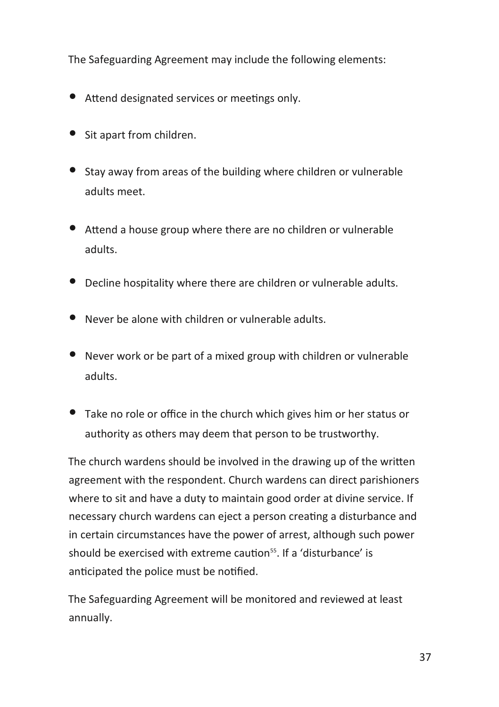The Safeguarding Agreement may include the following elements:

- Attend designated services or meetings only.
- Sit apart from children.
- Stay away from areas of the building where children or vulnerable adults meet.
- Attend a house group where there are no children or vulnerable adults.
- Decline hospitality where there are children or vulnerable adults.
- Never be alone with children or vulnerable adults.
- Never work or be part of a mixed group with children or vulnerable adults.
- Take no role or office in the church which gives him or her status or authority as others may deem that person to be trustworthy.

The church wardens should be involved in the drawing up of the written agreement with the respondent. Church wardens can direct parishioners where to sit and have a duty to maintain good order at divine service. If necessary church wardens can eject a person creating a disturbance and in certain circumstances have the power of arrest, although such power should be exercised with extreme caution<sup>55</sup>. If a 'disturbance' is anticipated the police must be notified.

The Safeguarding Agreement will be monitored and reviewed at least annually.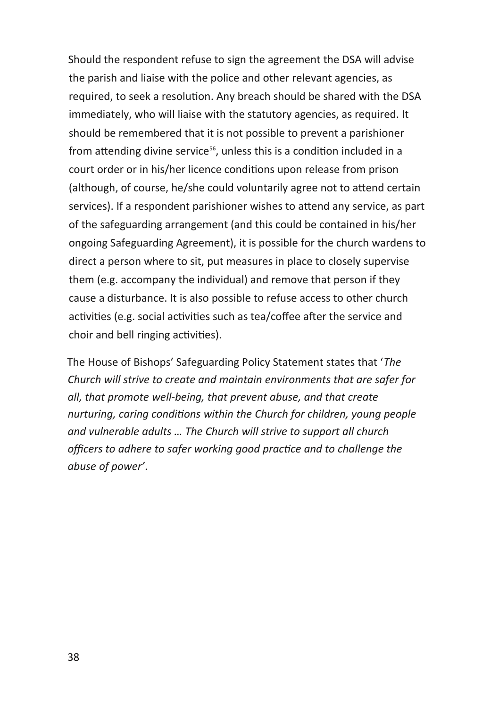Should the respondent refuse to sign the agreement the DSA will advise the parish and liaise with the police and other relevant agencies, as required, to seek a resolution. Any breach should be shared with the DSA immediately, who will liaise with the statutory agencies, as required. It should be remembered that it is not possible to prevent a parishioner from attending divine service<sup>56</sup>, unless this is a condition included in a court order or in his/her licence conditions upon release from prison (although, of course, he/she could voluntarily agree not to attend certain services). If a respondent parishioner wishes to attend any service, as part of the safeguarding arrangement (and this could be contained in his/her ongoing Safeguarding Agreement), it is possible for the church wardens to direct a person where to sit, put measures in place to closely supervise them (e.g. accompany the individual) and remove that person if they cause a disturbance. It is also possible to refuse access to other church activities (e.g. social activities such as tea/coffee after the service and choir and bell ringing activities).

The House of Bishops' Safeguarding Policy Statement states that '*The Church will strive to create and maintain environments that are safer for all, that promote well-being, that prevent abuse, and that create nurturing, caring conditions within the Church for children, young people and vulnerable adults … The Church will strive to support all church officers to adhere to safer working good practice and to challenge the abuse of power'*.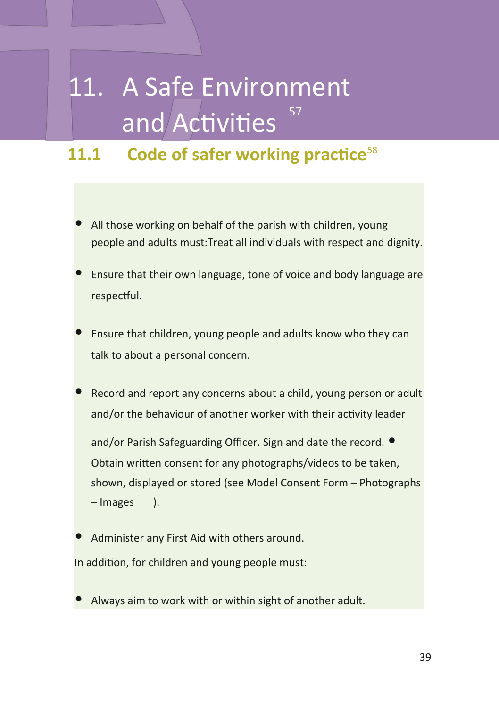# 11. A Safe Environment and Activities 57

### **11.1 Code of safer working practice**<sup>58</sup>

- All those working on behalf of the parish with children, young people and adults must:Treat all individuals with respect and dignity.
- Ensure that their own language, tone of voice and body language are respectful.
- Ensure that children, young people and adults know who they can talk to about a personal concern.
- Record and report any concerns about a child, young person or adult and/or the behaviour of another worker with their activity leader

and/or Parish Safeguarding Officer. Sign and date the record.  $\bullet$ Obtain written consent for any photographs/videos to be taken, shown, displayed or stored (see Model Consent Form – Photographs – Images ).

- Administer any First Aid with others around. In addition, for children and young people must:
- Always aim to work with or within sight of another adult.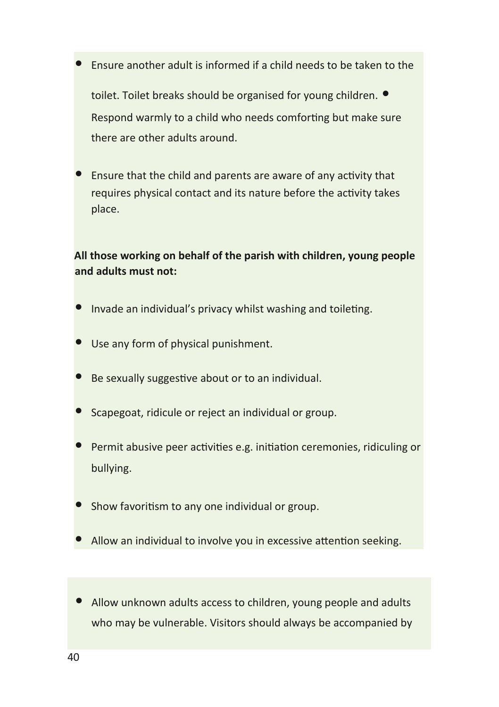• Ensure another adult is informed if a child needs to be taken to the

toilet. Toilet breaks should be organised for young children.  $\bullet$ Respond warmly to a child who needs comforting but make sure there are other adults around.

• Ensure that the child and parents are aware of any activity that requires physical contact and its nature before the activity takes place.

#### **All those working on behalf of the parish with children, young people and adults must not:**

- Invade an individual's privacy whilst washing and toileting.
- Use any form of physical punishment.
- Be sexually suggestive about or to an individual.
- Scapegoat, ridicule or reject an individual or group.
- Permit abusive peer activities e.g. initiation ceremonies, ridiculing or bullying.
- Show favoritism to any one individual or group.
- Allow an individual to involve you in excessive attention seeking.
- Allow unknown adults access to children, young people and adults who may be vulnerable. Visitors should always be accompanied by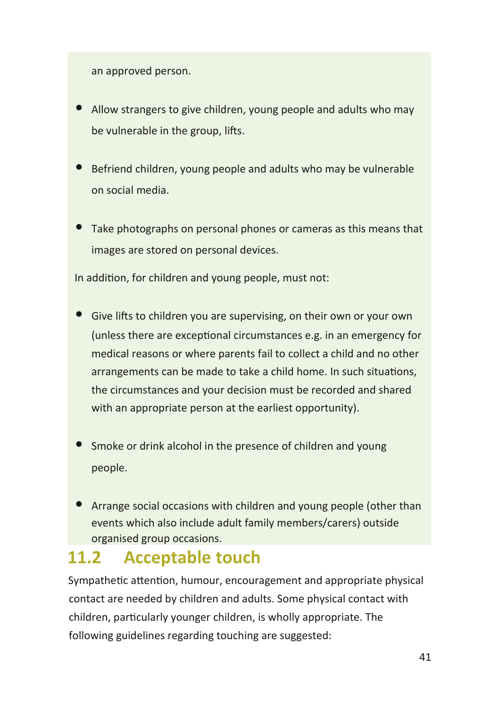an approved person.

- Allow strangers to give children, young people and adults who may be vulnerable in the group, lifts.
- Befriend children, young people and adults who may be vulnerable on social media.
- Take photographs on personal phones or cameras as this means that images are stored on personal devices.

In addition, for children and young people, must not:

- Give lifts to children you are supervising, on their own or your own (unless there are exceptional circumstances e.g. in an emergency for medical reasons or where parents fail to collect a child and no other arrangements can be made to take a child home. In such situations, the circumstances and your decision must be recorded and shared with an appropriate person at the earliest opportunity).
- Smoke or drink alcohol in the presence of children and young people.
- Arrange social occasions with children and young people (other than events which also include adult family members/carers) outside organised group occasions.

### **11.2 Acceptable touch**

Sympathetic attention, humour, encouragement and appropriate physical contact are needed by children and adults. Some physical contact with children, particularly younger children, is wholly appropriate. The following guidelines regarding touching are suggested: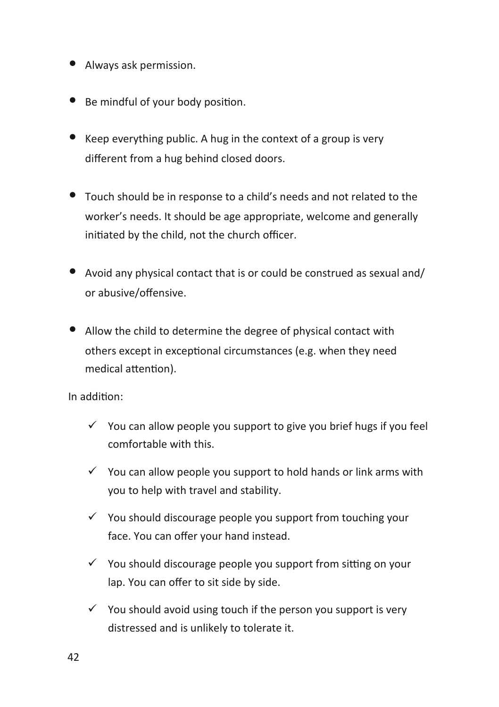- Always ask permission.
- Be mindful of your body position.
- Keep everything public. A hug in the context of a group is very different from a hug behind closed doors.
- Touch should be in response to a child's needs and not related to the worker's needs. It should be age appropriate, welcome and generally initiated by the child, not the church officer.
- Avoid any physical contact that is or could be construed as sexual and/ or abusive/offensive.
- Allow the child to determine the degree of physical contact with others except in exceptional circumstances (e.g. when they need medical attention).

In addition:

- $\checkmark$  You can allow people you support to give you brief hugs if you feel comfortable with this.
- $\checkmark$  You can allow people you support to hold hands or link arms with you to help with travel and stability.
- $\checkmark$  You should discourage people you support from touching your face. You can offer your hand instead.
- $\checkmark$  You should discourage people you support from sitting on your lap. You can offer to sit side by side.
- $\checkmark$  You should avoid using touch if the person you support is very distressed and is unlikely to tolerate it.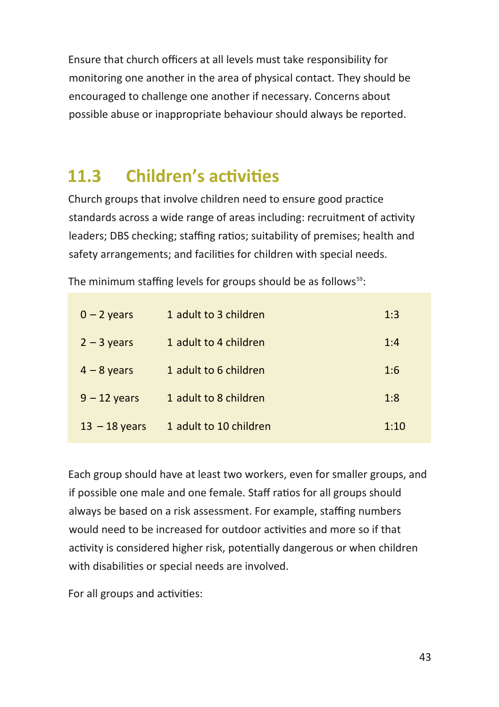Ensure that church officers at all levels must take responsibility for monitoring one another in the area of physical contact. They should be encouraged to challenge one another if necessary. Concerns about possible abuse or inappropriate behaviour should always be reported.

### **11.3 Children's activities**

Church groups that involve children need to ensure good practice standards across a wide range of areas including: recruitment of activity leaders; DBS checking; staffing ratios; suitability of premises; health and safety arrangements; and facilities for children with special needs.

The minimum staffing levels for groups should be as follows<sup>59</sup>:

| $0 - 2$ years   | 1 adult to 3 children  | 1:3  |
|-----------------|------------------------|------|
| $2 - 3$ years   | 1 adult to 4 children  | 1:4  |
| $4 - 8$ years   | 1 adult to 6 children  | 1:6  |
| $9 - 12$ years  | 1 adult to 8 children  | 1:8  |
| $13 - 18$ years | 1 adult to 10 children | 1:10 |

Each group should have at least two workers, even for smaller groups, and if possible one male and one female. Staff ratios for all groups should always be based on a risk assessment. For example, staffing numbers would need to be increased for outdoor activities and more so if that activity is considered higher risk, potentially dangerous or when children with disabilities or special needs are involved.

For all groups and activities: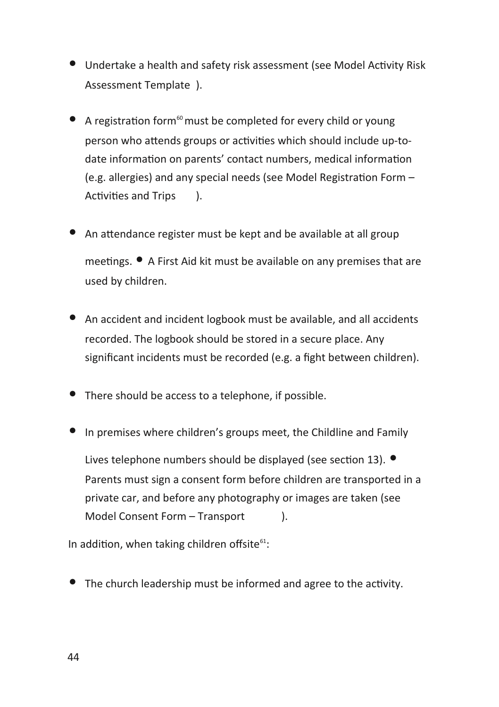- Undertake a health and safety risk assessment (see Model Activity Risk Assessment Template ).
- $\bullet$  A registration form<sup>60</sup> must be completed for every child or young person who attends groups or activities which should include up-todate information on parents' contact numbers, medical information (e.g. allergies) and any special needs (see Model Registration Form – Activities and Trips ).
- An attendance register must be kept and be available at all group meetings. • A First Aid kit must be available on any premises that are used by children.
- An accident and incident logbook must be available, and all accidents recorded. The logbook should be stored in a secure place. Any significant incidents must be recorded (e.g. a fight between children).
- There should be access to a telephone, if possible.
- In premises where children's groups meet, the Childline and Family Lives telephone numbers should be displayed (see section 13).  $\bullet$ Parents must sign a consent form before children are transported in a private car, and before any photography or images are taken (see Model Consent Form – Transport ).

In addition, when taking children offsite $61$ :

• The church leadership must be informed and agree to the activity.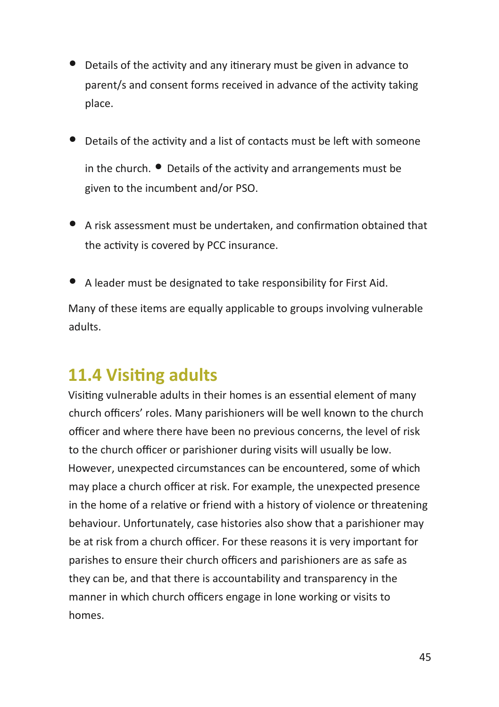- Details of the activity and any itinerary must be given in advance to parent/s and consent forms received in advance of the activity taking place.
- Details of the activity and a list of contacts must be left with someone in the church.  $\bullet$  Details of the activity and arrangements must be given to the incumbent and/or PSO.
- A risk assessment must be undertaken, and confirmation obtained that the activity is covered by PCC insurance.
- A leader must be designated to take responsibility for First Aid.

Many of these items are equally applicable to groups involving vulnerable adults.

### **11.4 Visiting adults**

Visiting vulnerable adults in their homes is an essential element of many church officers' roles. Many parishioners will be well known to the church officer and where there have been no previous concerns, the level of risk to the church officer or parishioner during visits will usually be low. However, unexpected circumstances can be encountered, some of which may place a church officer at risk. For example, the unexpected presence in the home of a relative or friend with a history of violence or threatening behaviour. Unfortunately, case histories also show that a parishioner may be at risk from a church officer. For these reasons it is very important for parishes to ensure their church officers and parishioners are as safe as they can be, and that there is accountability and transparency in the manner in which church officers engage in lone working or visits to homes.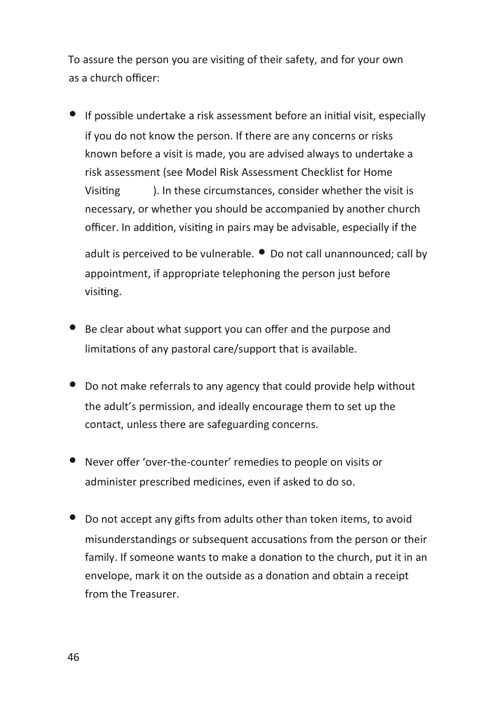To assure the person you are visiting of their safety, and for your own as a church officer:

• If possible undertake a risk assessment before an initial visit, especially if you do not know the person. If there are any concerns or risks known before a visit is made, you are advised always to undertake a risk assessment (see Model Risk Assessment Checklist for Home Visiting ). In these circumstances, consider whether the visit is necessary, or whether you should be accompanied by another church officer. In addition, visiting in pairs may be advisable, especially if the

adult is perceived to be vulnerable.  $\bullet$  Do not call unannounced; call by appointment, if appropriate telephoning the person just before visiting.

- Be clear about what support you can offer and the purpose and limitations of any pastoral care/support that is available.
- Do not make referrals to any agency that could provide help without the adult's permission, and ideally encourage them to set up the contact, unless there are safeguarding concerns.
- Never offer 'over-the-counter' remedies to people on visits or administer prescribed medicines, even if asked to do so.
- Do not accept any gifts from adults other than token items, to avoid misunderstandings or subsequent accusations from the person or their family. If someone wants to make a donation to the church, put it in an envelope, mark it on the outside as a donation and obtain a receipt from the Treasurer.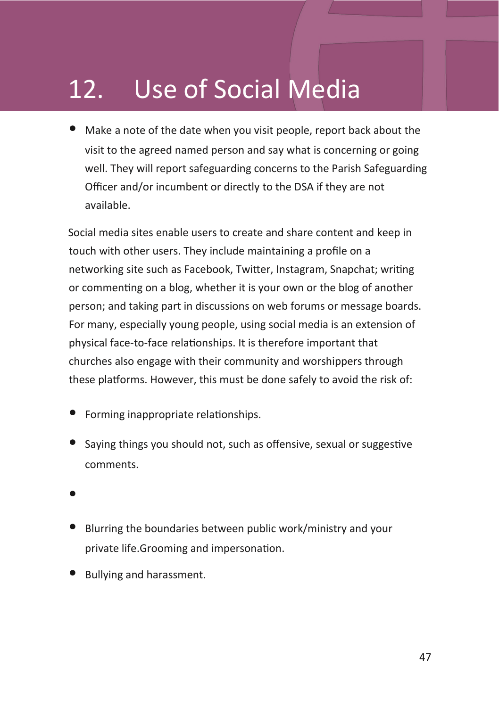# 12. Use of Social Media

• Make a note of the date when you visit people, report back about the visit to the agreed named person and say what is concerning or going well. They will report safeguarding concerns to the Parish Safeguarding Officer and/or incumbent or directly to the DSA if they are not available.

Social media sites enable users to create and share content and keep in touch with other users. They include maintaining a profile on a networking site such as Facebook, Twitter, Instagram, Snapchat; writing or commenting on a blog, whether it is your own or the blog of another person; and taking part in discussions on web forums or message boards. For many, especially young people, using social media is an extension of physical face-to-face relationships. It is therefore important that churches also engage with their community and worshippers through these platforms. However, this must be done safely to avoid the risk of:

- Forming inappropriate relationships.
- Saying things you should not, such as offensive, sexual or suggestive comments.
- •
- Blurring the boundaries between public work/ministry and your private life.Grooming and impersonation.
- Bullying and harassment.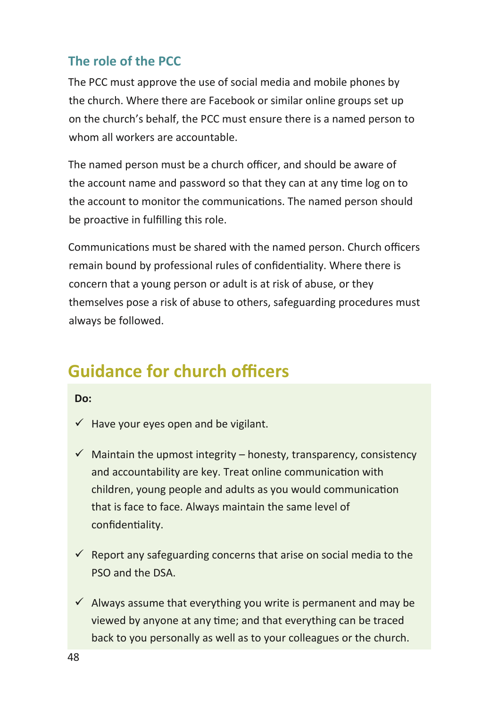#### **The role of the PCC**

The PCC must approve the use of social media and mobile phones by the church. Where there are Facebook or similar online groups set up on the church's behalf, the PCC must ensure there is a named person to whom all workers are accountable.

The named person must be a church officer, and should be aware of the account name and password so that they can at any time log on to the account to monitor the communications. The named person should be proactive in fulfilling this role.

Communications must be shared with the named person. Church officers remain bound by professional rules of confidentiality. Where there is concern that a young person or adult is at risk of abuse, or they themselves pose a risk of abuse to others, safeguarding procedures must always be followed.

### **Guidance for church officers**

#### **Do:**

- $\checkmark$  Have your eyes open and be vigilant.
- $\checkmark$  Maintain the upmost integrity honesty, transparency, consistency and accountability are key. Treat online communication with children, young people and adults as you would communication that is face to face. Always maintain the same level of confidentiality.
- $\checkmark$  Report any safeguarding concerns that arise on social media to the PSO and the DSA.
- $\checkmark$  Always assume that everything you write is permanent and may be viewed by anyone at any time; and that everything can be traced back to you personally as well as to your colleagues or the church.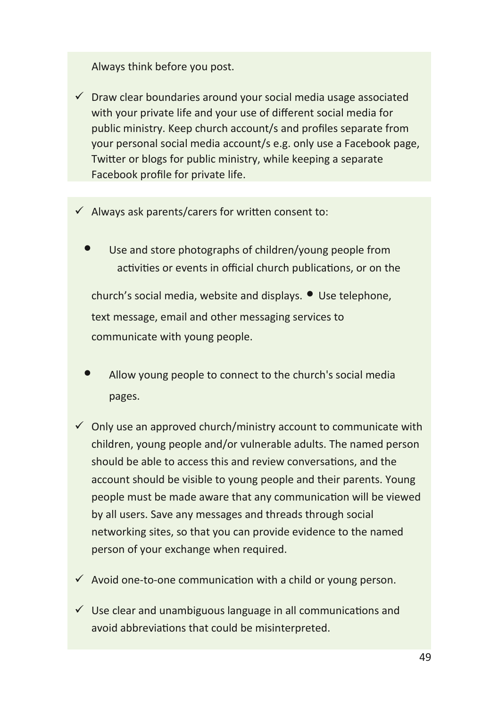#### Always think before you post.

- $\checkmark$  Draw clear boundaries around your social media usage associated with your private life and your use of different social media for public ministry. Keep church account/s and profiles separate from your personal social media account/s e.g. only use a Facebook page, Twitter or blogs for public ministry, while keeping a separate Facebook profile for private life.
- $\checkmark$  Always ask parents/carers for written consent to:
	- Use and store photographs of children/young people from activities or events in official church publications, or on the

church's social media, website and displays. • Use telephone, text message, email and other messaging services to communicate with young people.

- Allow young people to connect to the church's social media pages.
- $\checkmark$  Only use an approved church/ministry account to communicate with children, young people and/or vulnerable adults. The named person should be able to access this and review conversations, and the account should be visible to young people and their parents. Young people must be made aware that any communication will be viewed by all users. Save any messages and threads through social networking sites, so that you can provide evidence to the named person of your exchange when required.
- $\checkmark$  Avoid one-to-one communication with a child or young person.
- $\checkmark$  Use clear and unambiguous language in all communications and avoid abbreviations that could be misinterpreted.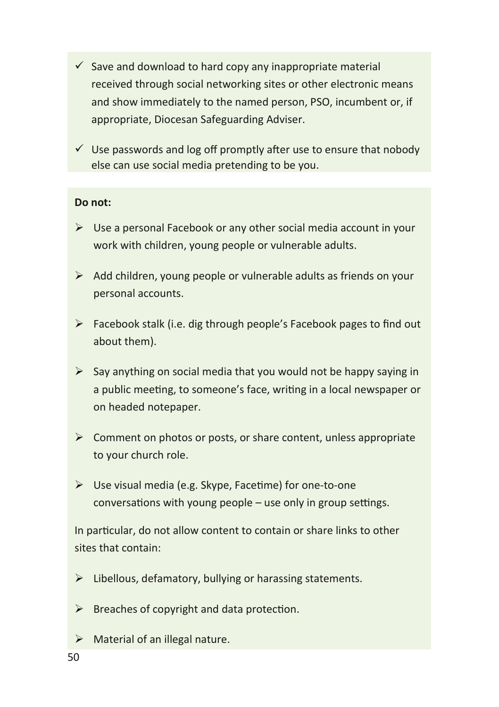- $\checkmark$  Save and download to hard copy any inappropriate material received through social networking sites or other electronic means and show immediately to the named person, PSO, incumbent or, if appropriate, Diocesan Safeguarding Adviser.
- $\checkmark$  Use passwords and log off promptly after use to ensure that nobody else can use social media pretending to be you.

#### **Do not:**

- $\triangleright$  Use a personal Facebook or any other social media account in your work with children, young people or vulnerable adults.
- $\triangleright$  Add children, young people or vulnerable adults as friends on your personal accounts.
- $\triangleright$  Facebook stalk (i.e. dig through people's Facebook pages to find out about them).
- $\triangleright$  Say anything on social media that you would not be happy saying in a public meeting, to someone's face, writing in a local newspaper or on headed notepaper.
- $\triangleright$  Comment on photos or posts, or share content, unless appropriate to your church role.
- Use visual media (e.g. Skype, Facetime) for one-to-one conversations with young people – use only in group settings.

In particular, do not allow content to contain or share links to other sites that contain:

- $\triangleright$  Libellous, defamatory, bullying or harassing statements.
- $\triangleright$  Breaches of copyright and data protection.
- $\triangleright$  Material of an illegal nature.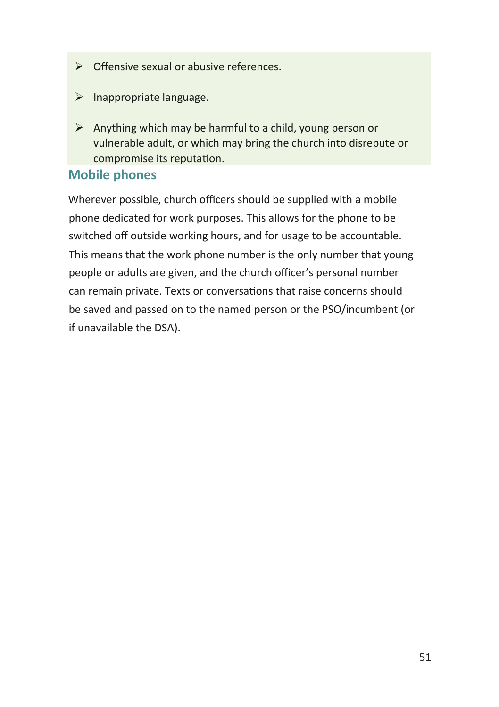- $\triangleright$  Offensive sexual or abusive references.
- $\triangleright$  Inappropriate language.
- $\triangleright$  Anything which may be harmful to a child, young person or vulnerable adult, or which may bring the church into disrepute or compromise its reputation.

#### **Mobile phones**

Wherever possible, church officers should be supplied with a mobile phone dedicated for work purposes. This allows for the phone to be switched off outside working hours, and for usage to be accountable. This means that the work phone number is the only number that young people or adults are given, and the church officer's personal number can remain private. Texts or conversations that raise concerns should be saved and passed on to the named person or the PSO/incumbent (or if unavailable the DSA).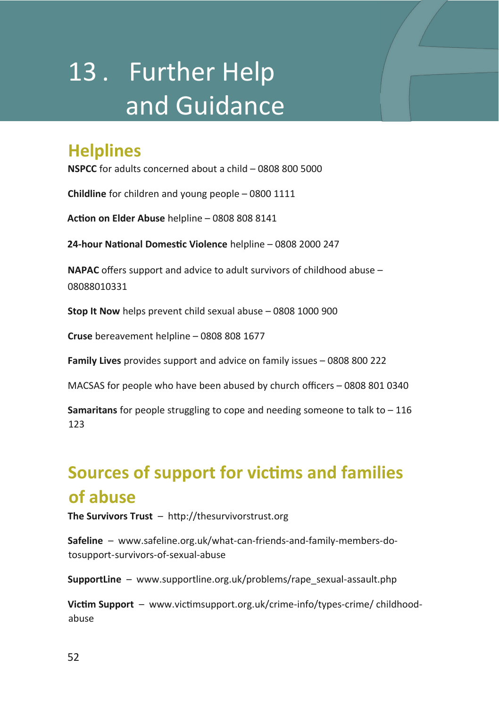# 13 . Further Help and Guidance

### **Helplines**

**NSPCC** for adults concerned about a child – 0808 800 5000

**Childline** for children and young people – 0800 1111

**Action on Elder Abuse** helpline – 0808 808 8141

**24-hour National Domestic Violence** helpline – 0808 2000 247

**NAPAC** offers support and advice to adult survivors of childhood abuse – 08088010331

**Stop It Now** helps prevent child sexual abuse – 0808 1000 900

**Cruse** bereavement helpline – 0808 808 1677

**Family Lives** provides support and advice on family issues – 0808 800 222

MACSAS for people who have been abused by church officers – 0808 801 0340

**Samaritans** for people struggling to cope and needing someone to talk to – 116 123

### **Sources of support for victims and families of abuse**

**The Survivors Trust** – http://thesurvivorstrust.org

**Safeline** – www.safeline.org.uk/what-can-friends-and-family-members-dotosupport-survivors-of-sexual-abuse

**SupportLine** – www.supportline.org.uk/problems/rape\_sexual-assault.php

**Victim Support** – www.victimsupport.org.uk/crime-info/types-crime/ childhoodabuse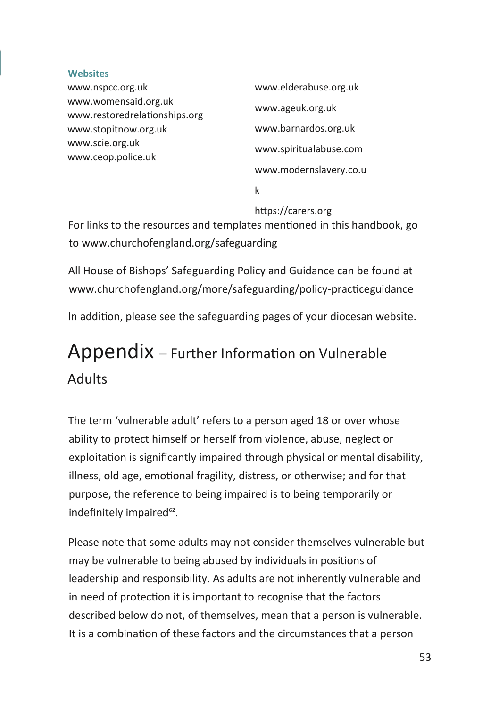#### **Websites**

| www.nspcc.org.uk                                      | www.elderabuse.org.uk  |
|-------------------------------------------------------|------------------------|
| www.womensaid.org.uk<br>www.restoredrelationships.org | www.ageuk.org.uk       |
| www.stopitnow.org.uk                                  | www.barnardos.org.uk   |
| www.scie.org.uk<br>www.ceop.police.uk                 | www.spiritualabuse.com |
|                                                       | www.modernslavery.co.u |
|                                                       |                        |

k

#### https://carers.org

For links to the resources and templates mentioned in this handbook, go to www.churchofengland.org/safeguarding

All House of Bishops' Safeguarding Policy and Guidance can be found at www.churchofengland.org/more/safeguarding/policy-practiceguidance In addition, please see the safeguarding pages of your diocesan website.

## Appendix – Further Information on Vulnerable Adults

The term 'vulnerable adult' refers to a person aged 18 or over whose ability to protect himself or herself from violence, abuse, neglect or exploitation is significantly impaired through physical or mental disability, illness, old age, emotional fragility, distress, or otherwise; and for that purpose, the reference to being impaired is to being temporarily or indefinitely impaired<sup>62</sup>.

Please note that some adults may not consider themselves vulnerable but may be vulnerable to being abused by individuals in positions of leadership and responsibility. As adults are not inherently vulnerable and in need of protection it is important to recognise that the factors described below do not, of themselves, mean that a person is vulnerable. It is a combination of these factors and the circumstances that a person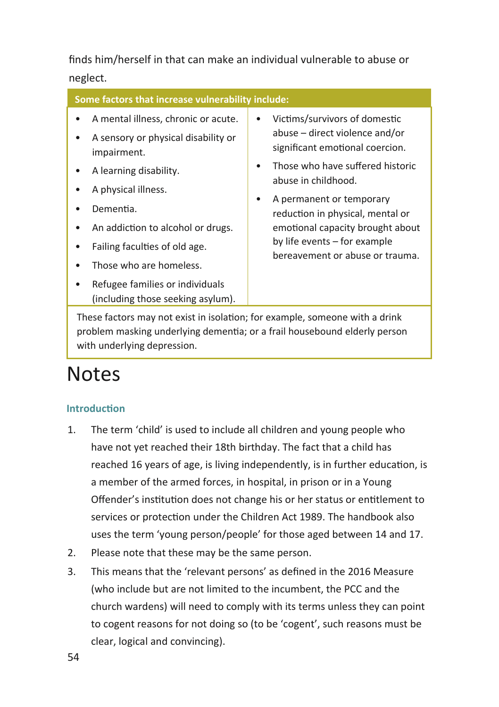finds him/herself in that can make an individual vulnerable to abuse or neglect.

| Some factors that increase vulnerability include:                                                                                                                                                                                       |                                                                                                                                                                                                                                                                                                                                                             |  |  |
|-----------------------------------------------------------------------------------------------------------------------------------------------------------------------------------------------------------------------------------------|-------------------------------------------------------------------------------------------------------------------------------------------------------------------------------------------------------------------------------------------------------------------------------------------------------------------------------------------------------------|--|--|
| A mental illness, chronic or acute.<br>A sensory or physical disability or<br>impairment.<br>A learning disability.<br>A physical illness.<br>Dementia.<br>An addiction to alcohol or drugs.<br>٠<br>Failing faculties of old age.<br>٠ | Victims/survivors of domestic<br>٠<br>abuse – direct violence and/or<br>significant emotional coercion.<br>Those who have suffered historic<br>$\bullet$<br>abuse in childhood.<br>A permanent or temporary<br>٠<br>reduction in physical, mental or<br>emotional capacity brought about<br>by life events – for example<br>bereavement or abuse or trauma. |  |  |
| Those who are homeless.<br>٠<br>Refugee families or individuals                                                                                                                                                                         |                                                                                                                                                                                                                                                                                                                                                             |  |  |

These factors may not exist in isolation; for example, someone with a drink problem masking underlying dementia; or a frail housebound elderly person with underlying depression.

## **Notes**

#### **Introduction**

- 1. The term 'child' is used to include all children and young people who have not yet reached their 18th birthday. The fact that a child has reached 16 years of age, is living independently, is in further education, is a member of the armed forces, in hospital, in prison or in a Young Offender's institution does not change his or her status or entitlement to services or protection under the Children Act 1989. The handbook also uses the term 'young person/people' for those aged between 14 and 17.
- 2. Please note that these may be the same person.

(including those seeking asylum).

3. This means that the 'relevant persons' as defined in the 2016 Measure (who include but are not limited to the incumbent, the PCC and the church wardens) will need to comply with its terms unless they can point to cogent reasons for not doing so (to be 'cogent', such reasons must be clear, logical and convincing).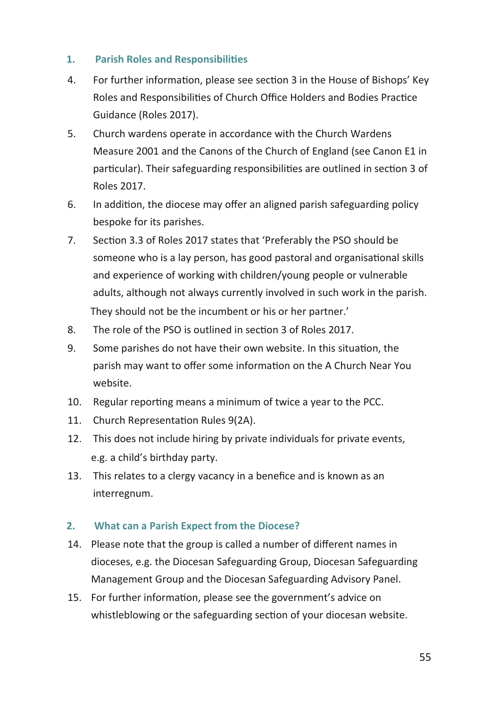#### **1. Parish Roles and Responsibilities**

- 4. For further information, please see section 3 in the House of Bishops' Key Roles and Responsibilities of Church Office Holders and Bodies Practice Guidance (Roles 2017).
- 5. Church wardens operate in accordance with the Church Wardens Measure 2001 and the Canons of the Church of England (see Canon E1 in particular). Their safeguarding responsibilities are outlined in section 3 of Roles 2017.
- 6. In addition, the diocese may offer an aligned parish safeguarding policy bespoke for its parishes.
- 7. Section 3.3 of Roles 2017 states that 'Preferably the PSO should be someone who is a lay person, has good pastoral and organisational skills and experience of working with children/young people or vulnerable adults, although not always currently involved in such work in the parish. They should not be the incumbent or his or her partner.'
- 8. The role of the PSO is outlined in section 3 of Roles 2017.
- 9. Some parishes do not have their own website. In this situation, the parish may want to offer some information on the A Church Near You website.
- 10. Regular reporting means a minimum of twice a year to the PCC.
- 11. Church Representation Rules 9(2A).
- 12. This does not include hiring by private individuals for private events, e.g. a child's birthday party.
- 13. This relates to a clergy vacancy in a benefice and is known as an interregnum.

#### **2. What can a Parish Expect from the Diocese?**

- 14. Please note that the group is called a number of different names in dioceses, e.g. the Diocesan Safeguarding Group, Diocesan Safeguarding Management Group and the Diocesan Safeguarding Advisory Panel.
- 15. For further information, please see the government's advice on whistleblowing or the safeguarding section of your diocesan website.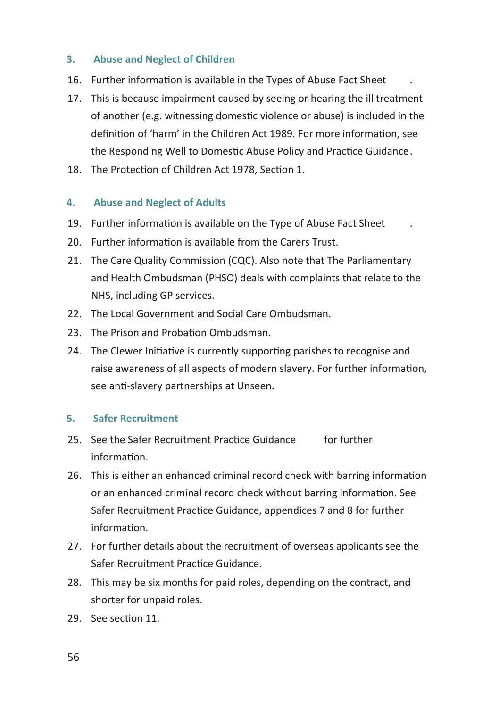#### **3. Abuse and Neglect of Children**

- 16. Further information is available in the Types of Abuse Fact Sheet .
- 17. This is because impairment caused by seeing or hearing the ill treatment of another (e.g. witnessing domestic violence or abuse) is included in the definition of 'harm' in the Children Act 1989. For more information, see the Responding Well to Domestic Abuse Policy and Practice Guidance.
- 18. The Protection of Children Act 1978, Section 1.

#### **4. Abuse and Neglect of Adults**

- 19. Further information is available on the Type of Abuse Fact Sheet .
- 20. Further information is available from the Carers Trust.
- 21. The Care Quality Commission (CQC). Also note that The Parliamentary and Health Ombudsman (PHSO) deals with complaints that relate to the NHS, including GP services.
- 22. The Local Government and Social Care Ombudsman.
- 23. The Prison and Probation Ombudsman
- 24. The Clewer Initiative is currently supporting parishes to recognise and raise awareness of all aspects of modern slavery. For further information, see anti-slavery partnerships at Unseen.

#### **5. Safer Recruitment**

- 25. See the Safer Recruitment Practice Guidance for further information.
- 26. This is either an enhanced criminal record check with barring information or an enhanced criminal record check without barring information. See Safer Recruitment Practice Guidance, appendices 7 and 8 for further information.
- 27. For further details about the recruitment of overseas applicants see the Safer Recruitment Practice Guidance.
- 28. This may be six months for paid roles, depending on the contract, and shorter for unpaid roles.
- 29. See section 11.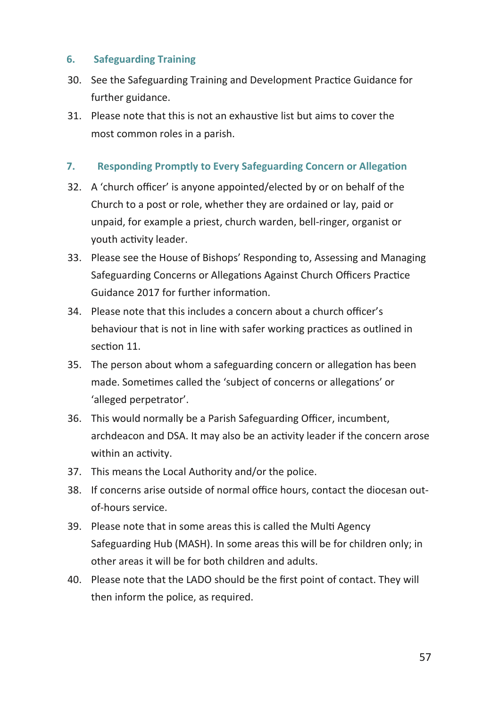#### **6. Safeguarding Training**

- 30. See the Safeguarding Training and Development Practice Guidance for further guidance.
- 31. Please note that this is not an exhaustive list but aims to cover the most common roles in a parish.

#### **7. Responding Promptly to Every Safeguarding Concern or Allegation**

- 32. A 'church officer' is anyone appointed/elected by or on behalf of the Church to a post or role, whether they are ordained or lay, paid or unpaid, for example a priest, church warden, bell-ringer, organist or youth activity leader.
- 33. Please see the House of Bishops' Responding to, Assessing and Managing Safeguarding Concerns or Allegations Against Church Officers Practice Guidance 2017 for further information.
- 34. Please note that this includes a concern about a church officer's behaviour that is not in line with safer working practices as outlined in section 11.
- 35. The person about whom a safeguarding concern or allegation has been made. Sometimes called the 'subject of concerns or allegations' or 'alleged perpetrator'.
- 36. This would normally be a Parish Safeguarding Officer, incumbent, archdeacon and DSA. It may also be an activity leader if the concern arose within an activity.
- 37. This means the Local Authority and/or the police.
- 38. If concerns arise outside of normal office hours, contact the diocesan outof-hours service.
- 39. Please note that in some areas this is called the Multi Agency Safeguarding Hub (MASH). In some areas this will be for children only; in other areas it will be for both children and adults.
- 40. Please note that the LADO should be the first point of contact. They will then inform the police, as required.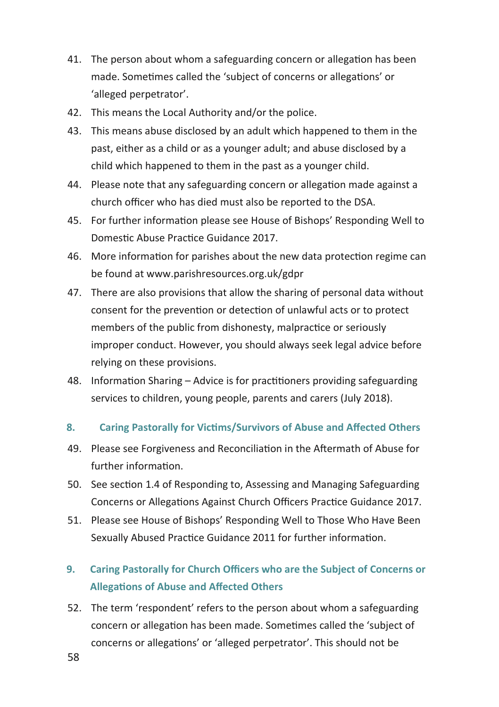- 41. The person about whom a safeguarding concern or allegation has been made. Sometimes called the 'subject of concerns or allegations' or 'alleged perpetrator'.
- 42. This means the Local Authority and/or the police.
- 43. This means abuse disclosed by an adult which happened to them in the past, either as a child or as a younger adult; and abuse disclosed by a child which happened to them in the past as a younger child.
- 44. Please note that any safeguarding concern or allegation made against a church officer who has died must also be reported to the DSA.
- 45. For further information please see House of Bishops' Responding Well to Domestic Abuse Practice Guidance 2017.
- 46. More information for parishes about the new data protection regime can be found at www.parishresources.org.uk/gdpr
- 47. There are also provisions that allow the sharing of personal data without consent for the prevention or detection of unlawful acts or to protect members of the public from dishonesty, malpractice or seriously improper conduct. However, you should always seek legal advice before relying on these provisions.
- 48. Information Sharing Advice is for practitioners providing safeguarding services to children, young people, parents and carers (July 2018).
- **8. Caring Pastorally for Victims/Survivors of Abuse and Affected Others**
- 49. Please see Forgiveness and Reconciliation in the Aftermath of Abuse for further information.
- 50. See section 1.4 of Responding to, Assessing and Managing Safeguarding Concerns or Allegations Against Church Officers Practice Guidance 2017.
- 51. Please see House of Bishops' Responding Well to Those Who Have Been Sexually Abused Practice Guidance 2011 for further information.

#### **9. Caring Pastorally for Church Officers who are the Subject of Concerns or Allegations of Abuse and Affected Others**

52. The term 'respondent' refers to the person about whom a safeguarding concern or allegation has been made. Sometimes called the 'subject of concerns or allegations' or 'alleged perpetrator'. This should not be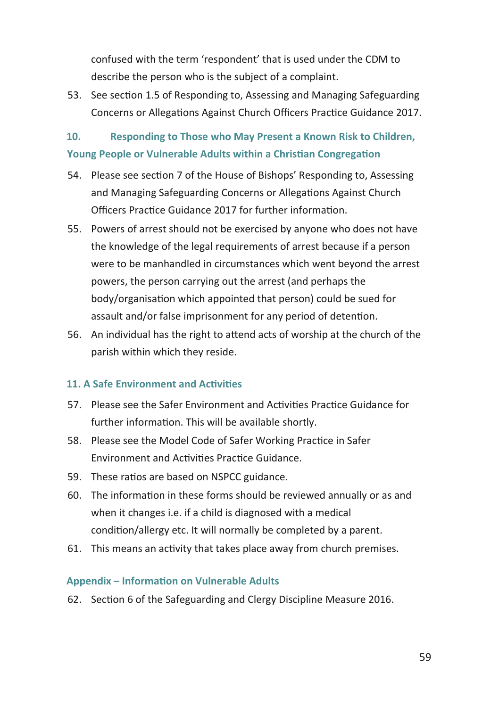confused with the term 'respondent' that is used under the CDM to describe the person who is the subject of a complaint.

53. See section 1.5 of Responding to, Assessing and Managing Safeguarding Concerns or Allegations Against Church Officers Practice Guidance 2017.

#### **10. Responding to Those who May Present a Known Risk to Children, Young People or Vulnerable Adults within a Christian Congregation**

- 54. Please see section 7 of the House of Bishops' Responding to, Assessing and Managing Safeguarding Concerns or Allegations Against Church Officers Practice Guidance 2017 for further information.
- 55. Powers of arrest should not be exercised by anyone who does not have the knowledge of the legal requirements of arrest because if a person were to be manhandled in circumstances which went beyond the arrest powers, the person carrying out the arrest (and perhaps the body/organisation which appointed that person) could be sued for assault and/or false imprisonment for any period of detention.
- 56. An individual has the right to attend acts of worship at the church of the parish within which they reside.

#### **11. A Safe Environment and Activities**

- 57. Please see the Safer Environment and Activities Practice Guidance for further information. This will be available shortly.
- 58. Please see the Model Code of Safer Working Practice in Safer Environment and Activities Practice Guidance.
- 59. These ratios are based on NSPCC guidance.
- 60. The information in these forms should be reviewed annually or as and when it changes i.e. if a child is diagnosed with a medical condition/allergy etc. It will normally be completed by a parent.
- 61. This means an activity that takes place away from church premises.

#### **Appendix – Information on Vulnerable Adults**

62. Section 6 of the Safeguarding and Clergy Discipline Measure 2016.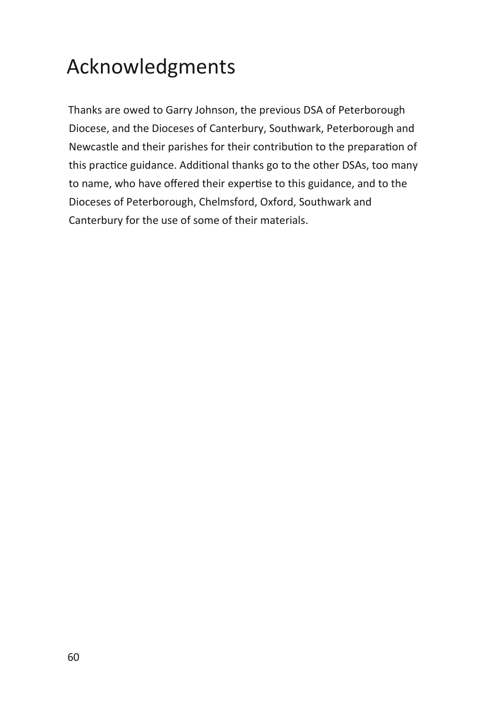# Acknowledgments

Thanks are owed to Garry Johnson, the previous DSA of Peterborough Diocese, and the Dioceses of Canterbury, Southwark, Peterborough and Newcastle and their parishes for their contribution to the preparation of this practice guidance. Additional thanks go to the other DSAs, too many to name, who have offered their expertise to this guidance, and to the Dioceses of Peterborough, Chelmsford, Oxford, Southwark and Canterbury for the use of some of their materials.